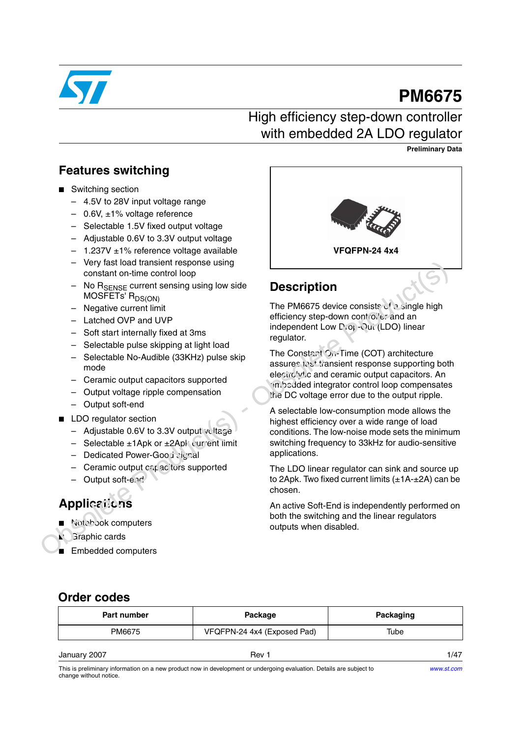

# **PM6675**

# High efficiency step-down controller with embedded 2A LDO regulator

**Preliminary Data**

## **Features switching**

- Switching section
	- 4.5V to 28V input voltage range
	- $-$  0.6V,  $\pm$ 1% voltage reference
	- Selectable 1.5V fixed output voltage
	- Adjustable 0.6V to 3.3V output voltage
	- $-$  1.237V  $\pm$ 1% reference voltage available
	- Very fast load transient response using constant on-time control loop
	- No R<sub>SENSE</sub> current sensing using low side MOSFETs' R<sub>DS(ON)</sub>
	- Negative current limit
	- Latched OVP and UVP
	- Soft start internally fixed at 3ms
	- Selectable pulse skipping at light load
	- Selectable No-Audible (33KHz) pulse skip mode
	- Ceramic output capacitors supported
	- Output voltage ripple compensation
	- Output soft-end
- LDO regulator section
	- Adjustable 0.6V to 3.3V output voltage
	- $-$  Selectable  $\pm 1$ Apk or  $\pm 2$ Apk current limit
	- Dedicated Power-Good signal
	- $-$  Ceramic output capacitors supported
	- Output soft-end

# **Applications**

- Notebook computers
- **Graphic cards**
- Embedded computers



# **Description**

The PM6675 device consists of a single high efficiency step-down controller and an independent Low Drot-Out (LDO) linear regulator.

The Constant On-Time (COT) architecture assures test transient response supporting both electrolytic and ceramic output capacitors. An embedded integrator control loop compensates the DC voltage error due to the output ripple. Viry last load transient response the matterial of the method of the method of the method of the method of the method of the method of the method of the method of the method of the method interaction of the Selectable I

A selectable low-consumption mode allows the highest efficiency over a wide range of load conditions. The low-noise mode sets the minimum switching frequency to 33kHz for audio-sensitive applications.

The LDO linear regulator can sink and source up to 2Apk. Two fixed current limits  $(\pm 1A - \pm 2A)$  can be chosen.

An active Soft-End is independently performed on both the switching and the linear regulators outputs when disabled.

## **Order codes**

| <b>Part number</b> | Package                     | Packaging |
|--------------------|-----------------------------|-----------|
| PM6675             | VFQFPN-24 4x4 (Exposed Pad) | Tube      |
| January 2007       | Rev 1                       | 1/47      |

This is preliminary information on a new product now in development or undergoing evaluation. Details are subject to change without notice.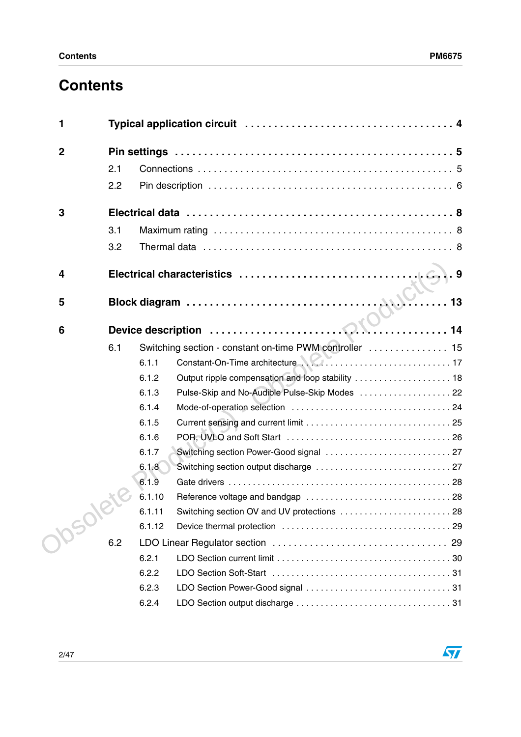$\sqrt{2}$ 

# **Contents**

| 1                |     |        |                                                         |
|------------------|-----|--------|---------------------------------------------------------|
| $\boldsymbol{2}$ |     |        |                                                         |
|                  | 2.1 |        |                                                         |
|                  | 2.2 |        |                                                         |
| 3                |     |        |                                                         |
|                  | 3.1 |        |                                                         |
|                  | 3.2 |        |                                                         |
| 4                |     |        |                                                         |
| 5                |     |        | $\ldots$ 13                                             |
| 6                |     |        |                                                         |
|                  | 6.1 |        | Switching section - constant on-time PWM controller  15 |
|                  |     | 6.1.1  |                                                         |
|                  |     | 6.1.2  | Output ripple compensation and loop stability  18       |
|                  |     | 6.1.3  | Pulse-Skip and No-Audible Pulse-Skip Modes  22          |
|                  |     | 6.1.4  |                                                         |
|                  |     | 6.1.5  |                                                         |
|                  |     | 6.1.6  |                                                         |
|                  |     | 6.1.7  |                                                         |
|                  |     | 6.1.8  |                                                         |
|                  |     | 6.1.9  |                                                         |
|                  |     | 6.1.10 |                                                         |
|                  |     | 6.1.11 |                                                         |
|                  |     | 6.1.12 |                                                         |
| psole            | 6.2 |        |                                                         |
|                  |     | 6.2.1  |                                                         |
|                  |     | 6.2.2  |                                                         |
|                  |     | 6.2.3  |                                                         |
|                  |     | 6.2.4  |                                                         |
|                  |     |        |                                                         |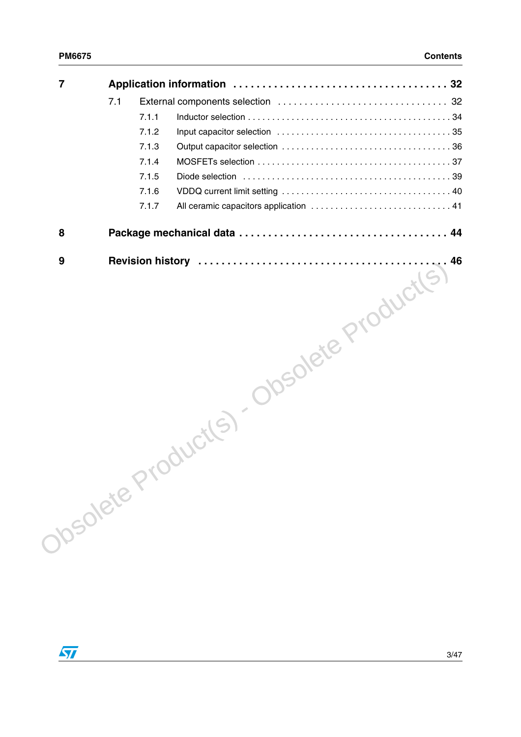| $\overline{7}$ |     |       |                                           |
|----------------|-----|-------|-------------------------------------------|
|                | 7.1 |       |                                           |
|                |     | 7.1.1 |                                           |
|                |     | 7.1.2 |                                           |
|                |     | 7.1.3 |                                           |
|                |     | 7.1.4 |                                           |
|                |     | 7.1.5 |                                           |
|                |     | 7.1.6 |                                           |
|                |     | 7.1.7 |                                           |
| 8              |     |       |                                           |
|                |     |       | Josolete Product(s) - Obsolete Product(s) |
|                |     |       |                                           |
|                |     |       |                                           |
|                |     |       |                                           |
|                |     |       |                                           |
|                |     |       |                                           |
|                |     |       |                                           |
|                |     |       |                                           |
|                |     |       |                                           |
|                |     |       |                                           |
|                |     |       |                                           |
|                |     |       |                                           |
|                |     |       |                                           |
|                |     |       |                                           |

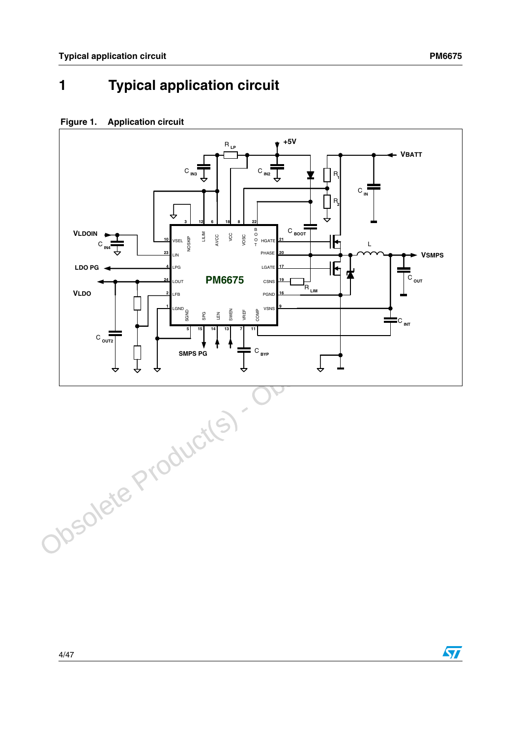$\overline{\mathbf{H}}$ 

# <span id="page-3-0"></span>**1 Typical application circuit**

### **Figure 1. Application circuit**

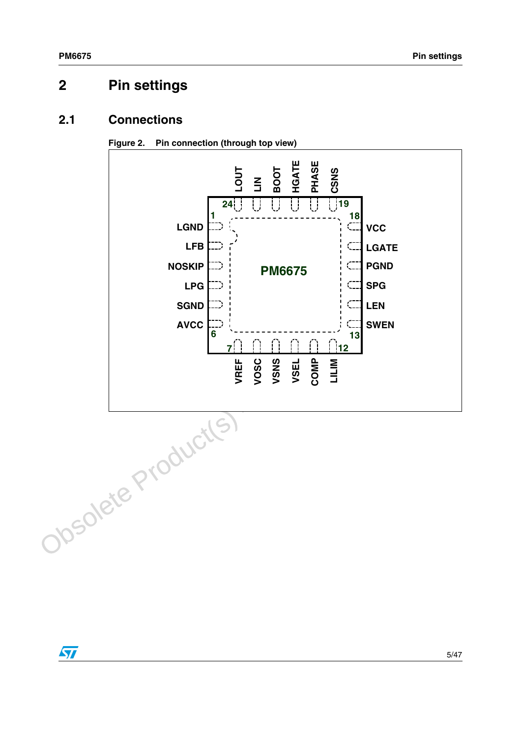# <span id="page-4-0"></span>**2 Pin settings**

## <span id="page-4-1"></span>**2.1 Connections**





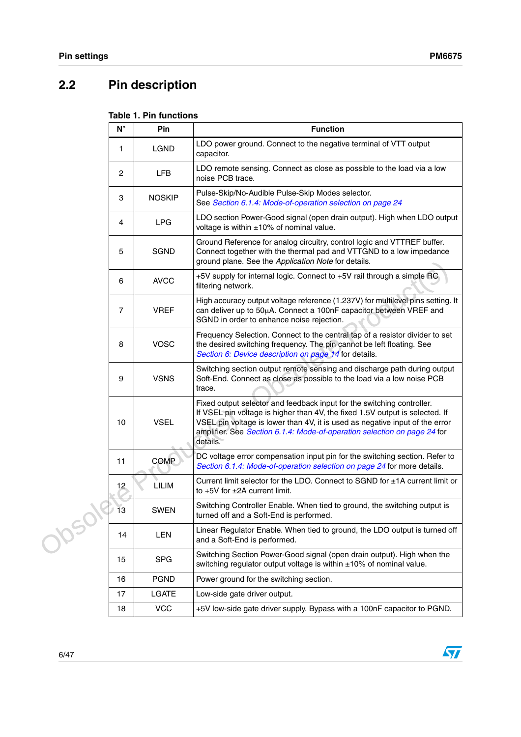# <span id="page-5-0"></span>**2.2 Pin description**

## **Table 1. Pin functions**

|        | $N^{\circ}$     | Pin           | <b>Function</b>                                                                                                                                                                                                                                                                                                                |
|--------|-----------------|---------------|--------------------------------------------------------------------------------------------------------------------------------------------------------------------------------------------------------------------------------------------------------------------------------------------------------------------------------|
|        | 1               | LGND          | LDO power ground. Connect to the negative terminal of VTT output<br>capacitor.                                                                                                                                                                                                                                                 |
|        | 2               | <b>LFB</b>    | LDO remote sensing. Connect as close as possible to the load via a low<br>noise PCB trace.                                                                                                                                                                                                                                     |
|        | 3               | <b>NOSKIP</b> | Pulse-Skip/No-Audible Pulse-Skip Modes selector.<br>See Section 6.1.4: Mode-of-operation selection on page 24                                                                                                                                                                                                                  |
|        | 4               | <b>LPG</b>    | LDO section Power-Good signal (open drain output). High when LDO output<br>voltage is within $\pm 10\%$ of nominal value.                                                                                                                                                                                                      |
|        | 5               | <b>SGND</b>   | Ground Reference for analog circuitry, control logic and VTTREF buffer.<br>Connect together with the thermal pad and VTTGND to a low impedance<br>ground plane. See the Application Note for details.                                                                                                                          |
|        | 6               | <b>AVCC</b>   | +5V supply for internal logic. Connect to +5V rail through a simple RC<br>filtering network.                                                                                                                                                                                                                                   |
|        | $\overline{7}$  | <b>VREF</b>   | High accuracy output voltage reference (1.237V) for multilevel pins setting. It<br>can deliver up to 50µA. Connect a 100nF capacitor between VREF and<br>SGND in order to enhance noise rejection.                                                                                                                             |
|        | 8               | <b>VOSC</b>   | Frequency Selection. Connect to the central tap of a resistor divider to set<br>the desired switching frequency. The pin cannot be left floating. See<br>Section 6: Device description on page 14 for details.                                                                                                                 |
|        | 9               | <b>VSNS</b>   | Switching section output remote sensing and discharge path during output<br>Soft-End. Connect as close as possible to the load via a low noise PCB<br>trace.                                                                                                                                                                   |
|        | 10              | <b>VSEL</b>   | Fixed output selector and feedback input for the switching controller.<br>If VSEL pin voltage is higher than 4V, the fixed 1.5V output is selected. If<br>VSEL pin voltage is lower than 4V, it is used as negative input of the error<br>amplifier. See Section 6.1.4: Mode-of-operation selection on page 24 for<br>details. |
|        | 11              | <b>COMP</b>   | DC voltage error compensation input pin for the switching section. Refer to<br>Section 6.1.4: Mode-of-operation selection on page 24 for more details.                                                                                                                                                                         |
|        | 12              | LILIM         | Current limit selector for the LDO. Connect to $SGND$ for $±1A$ current limit or<br>to $+5V$ for $\pm 2A$ current limit.                                                                                                                                                                                                       |
|        | $\overline{1}3$ | <b>SWEN</b>   | Switching Controller Enable. When tied to ground, the switching output is<br>turned off and a Soft-End is performed.                                                                                                                                                                                                           |
| Josol! | 14              | <b>LEN</b>    | Linear Regulator Enable. When tied to ground, the LDO output is turned off<br>and a Soft-End is performed.                                                                                                                                                                                                                     |
|        | 15              | <b>SPG</b>    | Switching Section Power-Good signal (open drain output). High when the<br>switching regulator output voltage is within ±10% of nominal value.                                                                                                                                                                                  |
|        | 16              | <b>PGND</b>   | Power ground for the switching section.                                                                                                                                                                                                                                                                                        |
|        | 17              | LGATE         | Low-side gate driver output.                                                                                                                                                                                                                                                                                                   |
|        | 18              | <b>VCC</b>    | +5V low-side gate driver supply. Bypass with a 100nF capacitor to PGND.                                                                                                                                                                                                                                                        |

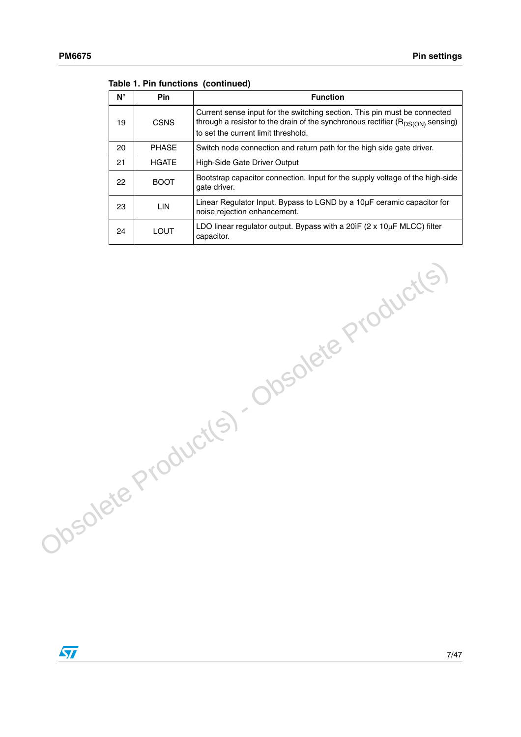| Ν° | <b>Pin</b>   | <b>Function</b>                                                                                                                                                                                         |
|----|--------------|---------------------------------------------------------------------------------------------------------------------------------------------------------------------------------------------------------|
| 19 | <b>CSNS</b>  | Current sense input for the switching section. This pin must be connected<br>through a resistor to the drain of the synchronous rectifier $(R_{DS(ON)}$ sensing)<br>to set the current limit threshold. |
| 20 | <b>PHASE</b> | Switch node connection and return path for the high side gate driver.                                                                                                                                   |
| 21 | <b>HGATE</b> | High-Side Gate Driver Output                                                                                                                                                                            |
| 22 | <b>BOOT</b>  | Bootstrap capacitor connection. Input for the supply voltage of the high-side<br>gate driver.                                                                                                           |
| 23 | LIN          | Linear Regulator Input. Bypass to LGND by a 10µF ceramic capacitor for<br>noise rejection enhancement.                                                                                                  |
| 24 | LOUT         | LDO linear requiator output. Bypass with a 20 $F(2 \times 10 \mu F$ MLCC) filter<br>capacitor.                                                                                                          |

Obsolete Product(s) - Obsolete Product(s)

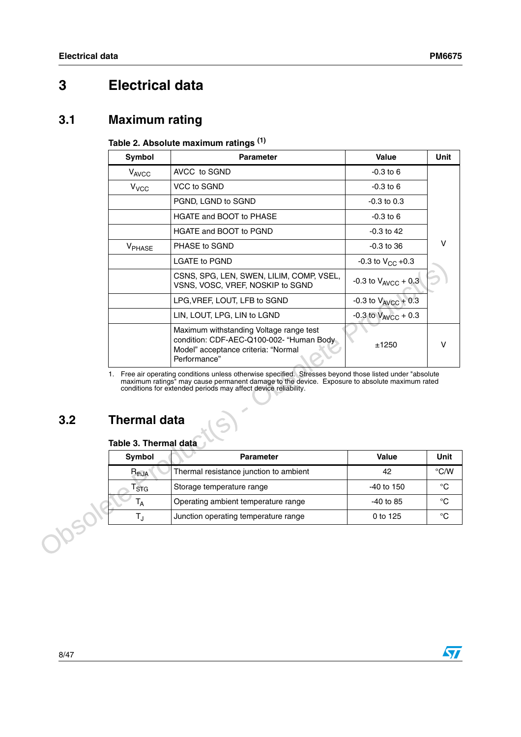# <span id="page-7-0"></span>**3 Electrical data**

## <span id="page-7-1"></span>**3.1 Maximum rating**

### **Table 2. Absolute maximum ratings (1)**

|                  | Symbol                                       | <b>Parameter</b>                                                                                                                                                                                                                                                             | Value                      | Unit        |
|------------------|----------------------------------------------|------------------------------------------------------------------------------------------------------------------------------------------------------------------------------------------------------------------------------------------------------------------------------|----------------------------|-------------|
|                  | V <sub>AVCC</sub>                            | AVCC to SGND                                                                                                                                                                                                                                                                 | $-0.3$ to $6$              |             |
|                  | $V_{VCC}$                                    | VCC to SGND                                                                                                                                                                                                                                                                  | $-0.3$ to 6                |             |
|                  |                                              | PGND, LGND to SGND                                                                                                                                                                                                                                                           | $-0.3$ to 0.3              |             |
|                  |                                              | HGATE and BOOT to PHASE                                                                                                                                                                                                                                                      | $-0.3$ to 6                |             |
|                  |                                              | HGATE and BOOT to PGND                                                                                                                                                                                                                                                       | -0.3 to 42                 |             |
|                  | V <sub>PHASE</sub>                           | PHASE to SGND                                                                                                                                                                                                                                                                | $-0.3$ to $36$             | ν           |
|                  |                                              | <b>LGATE to PGND</b>                                                                                                                                                                                                                                                         | -0.3 to $V_{CC}$ +0.3      |             |
|                  |                                              | CSNS, SPG, LEN, SWEN, LILIM, COMP, VSEL,<br>VSNS, VOSC, VREF, NOSKIP to SGND                                                                                                                                                                                                 | -0.3 to $V_{AVCC}$ + 0.3   |             |
|                  |                                              | LPG, VREF, LOUT, LFB to SGND                                                                                                                                                                                                                                                 | -0.3 to $V_{AVCC}$ + 0.3   |             |
|                  |                                              | LIN, LOUT, LPG, LIN to LGND                                                                                                                                                                                                                                                  | $-0.3$ to $V_{AVCC}$ + 0.3 |             |
|                  |                                              | Maximum withstanding Voltage range test<br>condition: CDF-AEC-Q100-002- "Human Body<br>Model" acceptance criteria: "Normal<br>Performance"                                                                                                                                   | ±1250                      | V           |
| 3.2              | <b>Thermal data</b><br>Table 3. Thermal data | 1. Free air operating conditions unless otherwise specified. Stresses beyond those listed under "absolute<br>maximum ratings" may cause permanent damage to the device. Exposure to absolute maximum rated<br>conditions for extended periods may affect device reliability. |                            |             |
|                  | Symbol                                       | <b>Parameter</b>                                                                                                                                                                                                                                                             | <b>Value</b>               | Unit        |
|                  | $R_{thJA}$                                   | Thermal resistance junction to ambient                                                                                                                                                                                                                                       | 42                         | °C/W        |
| T <sub>STG</sub> |                                              | Storage temperature range                                                                                                                                                                                                                                                    | -40 to 150                 | °C          |
|                  | $T_A$                                        | Operating ambient temperature range                                                                                                                                                                                                                                          | -40 to 85                  | $^{\circ}C$ |
|                  | $T_{\rm J}$                                  | Junction operating temperature range                                                                                                                                                                                                                                         | 0 to 125                   | $^{\circ}C$ |
| bsol             |                                              |                                                                                                                                                                                                                                                                              |                            |             |

# <span id="page-7-2"></span>**3.2 Thermal data**

### **Table 3. Thermal data**

| Symbol     | <b>Parameter</b>                       | Value        | Unit          |
|------------|----------------------------------------|--------------|---------------|
| $R_{thJA}$ | Thermal resistance junction to ambient | 42           | $\degree$ C/W |
| <b>STG</b> | Storage temperature range              | $-40$ to 150 | °C            |
| ١д         | Operating ambient temperature range    | $-40$ to 85  | °C            |
|            | Junction operating temperature range   | 0 to 125     | ം             |

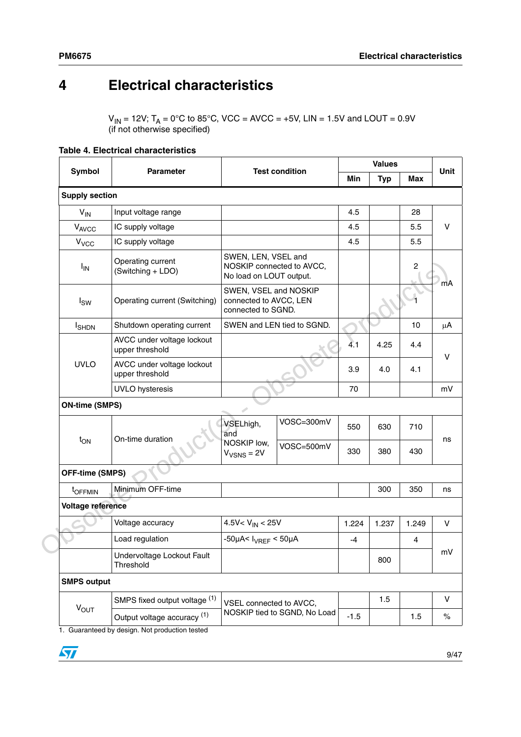# <span id="page-8-0"></span>**4 Electrical characteristics**

 $V_{\text{IN}}$  = 12V; T<sub>A</sub> = 0°C to 85°C, VCC = AVCC = +5V, LIN = 1.5V and LOUT = 0.9V (if not otherwise specified)

|                        |                                               |                                                                       |                              | <b>Values</b> |            |                |        |
|------------------------|-----------------------------------------------|-----------------------------------------------------------------------|------------------------------|---------------|------------|----------------|--------|
| Symbol                 | <b>Parameter</b>                              |                                                                       | <b>Test condition</b>        | Min           | <b>Typ</b> | Max            | Unit   |
| <b>Supply section</b>  |                                               |                                                                       |                              |               |            |                |        |
| $V_{IN}$               | Input voltage range                           |                                                                       |                              | 4.5           |            | 28             |        |
| VAVCC                  | IC supply voltage                             |                                                                       |                              | 4.5           |            | 5.5            | v      |
| $V_{VCC}$              | IC supply voltage                             |                                                                       |                              | 4.5           |            | 5.5            |        |
| <b>I<sub>IN</sub></b>  | Operating current<br>(Switching + LDO)        | SWEN, LEN, VSEL and<br>No load on LOUT output.                        | NOSKIP connected to AVCC,    |               |            | $\overline{c}$ |        |
| $I_{SW}$               | Operating current (Switching)                 | SWEN, VSEL and NOSKIP<br>connected to AVCC, LEN<br>connected to SGND. |                              |               |            |                | mA     |
| <b>I</b> SHDN          | Shutdown operating current                    |                                                                       | SWEN and LEN tied to SGND.   |               |            | 10             | μA     |
|                        | AVCC under voltage lockout<br>upper threshold |                                                                       |                              | 4.1           | 4.25       | 4.4            | v      |
| <b>UVLO</b>            | AVCC under voltage lockout<br>upper threshold |                                                                       |                              | 3.9           | 4.0        | 4.1            |        |
|                        | <b>UVLO</b> hysteresis                        |                                                                       |                              | 70            |            |                | mV     |
| <b>ON-time (SMPS)</b>  |                                               |                                                                       |                              |               |            |                |        |
|                        | On-time duration                              | VSELhigh,<br>and                                                      | VOSC=300mV                   | 550           | 630        | 710            |        |
| $t_{ON}$               |                                               | NOSKIP low,<br>$V_{VSNS} = 2V$                                        | VOSC=500mV                   | 330           | 380        | 430            | ns     |
| <b>OFF-time (SMPS)</b> |                                               |                                                                       |                              |               |            |                |        |
| t <sub>OFFMIN</sub>    | Minimum OFF-time                              |                                                                       |                              |               | 300        | 350            | ns     |
| Voltage reference      |                                               |                                                                       |                              |               |            |                |        |
|                        | Voltage accuracy                              | 4.5V< $V_{IN}$ < 25V                                                  |                              | 1.224         | 1.237      | 1.249          | $\vee$ |
|                        | Load regulation                               | -50µA< $I_{VREF}$ < 50µA                                              |                              | $-4$          |            | 4              |        |
|                        | Undervoltage Lockout Fault<br>Threshold       |                                                                       |                              |               | 800        |                | mV     |
| <b>SMPS output</b>     |                                               |                                                                       |                              |               |            |                |        |
|                        | SMPS fixed output voltage (1)                 | VSEL connected to AVCC,                                               |                              |               | 1.5        |                | $\vee$ |
| $V_{OUT}$              | Output voltage accuracy (1)                   |                                                                       | NOSKIP tied to SGND, No Load | $-1.5$        |            | 1.5            | $\%$   |
|                        |                                               |                                                                       |                              |               |            |                |        |

1. Guaranteed by design. Not production tested

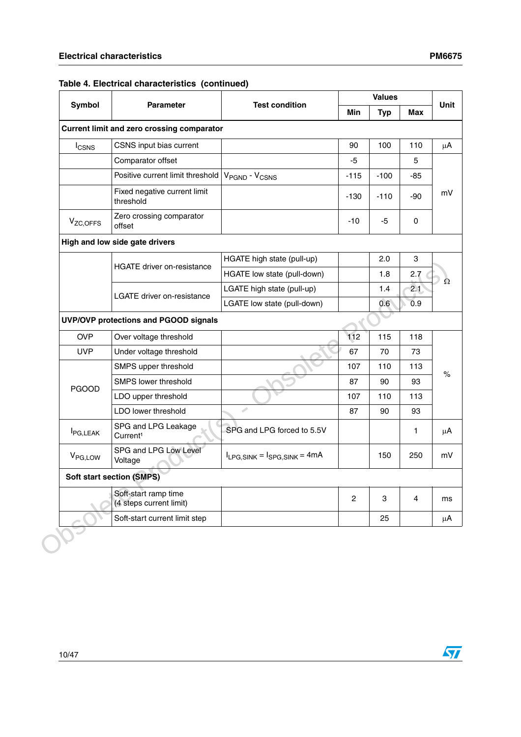| Symbol                | <b>Parameter</b>                                  | <b>Test condition</b>                 | <b>Values</b> |            |            | Unit |
|-----------------------|---------------------------------------------------|---------------------------------------|---------------|------------|------------|------|
|                       |                                                   |                                       | <b>Min</b>    | <b>Typ</b> | <b>Max</b> |      |
|                       | <b>Current limit and zero crossing comparator</b> |                                       |               |            |            |      |
| <b>I</b> CSNS         | CSNS input bias current                           |                                       | 90            | 100        | 110        |      |
|                       | Comparator offset                                 |                                       | $-5$          |            | 5          |      |
|                       | Positive current limit threshold                  | V <sub>PGND</sub> - V <sub>CSNS</sub> | $-115$        | $-100$     | -85        |      |
|                       | Fixed negative current limit<br>threshold         |                                       | $-130$        | $-110$     | $-90$      |      |
| V <sub>ZC, OFFS</sub> | Zero crossing comparator<br>offset                |                                       | -10           | -5         | 0          |      |
|                       | High and low side gate drivers                    |                                       |               |            |            |      |
|                       |                                                   | HGATE high state (pull-up)            |               | 2.0        | 3          |      |
|                       | <b>HGATE</b> driver on-resistance                 | HGATE low state (pull-down)           |               | 1.8        | 2.7        |      |
|                       |                                                   | LGATE high state (pull-up)            |               | 1.4        | 2.1        |      |
|                       | <b>LGATE</b> driver on-resistance                 | LGATE low state (pull-down)           |               | 0.6        | 0.9        |      |
|                       | UVP/OVP protections and PGOOD signals             |                                       |               |            |            |      |
| <b>OVP</b>            | Over voltage threshold                            |                                       | 112           | 115        | 118        |      |
| <b>UVP</b>            | Under voltage threshold                           |                                       | 67            | 70         | 73         |      |
|                       | SMPS upper threshold                              |                                       | 107           | 110        | 113        | $\%$ |
|                       | SMPS lower threshold                              |                                       | 87            | 90         | 93         |      |
| <b>PGOOD</b>          | LDO upper threshold                               |                                       | 107           | 110        | 113        |      |
|                       | LDO lower threshold                               | P                                     | 87            | 90         | 93         |      |
| <b>I</b> PG,LEAK      | SPG and LPG Leakage<br>Current <sup>1</sup>       | SPG and LPG forced to 5.5V            |               |            | 1          |      |
| V <sub>PG,LOW</sub>   | SPG and LPG Low Level<br>Voltage                  | $I_{LPG, SINK} = I_{SPG, SINK} = 4mA$ |               | 150        | 250        |      |
|                       | <b>Soft start section (SMPS)</b>                  |                                       |               |            |            |      |
|                       | Soft-start ramp time<br>(4 steps current limit)   |                                       | $\mathbf{2}$  | 3          | 4          |      |
|                       | Soft-start current limit step                     |                                       |               | 25         |            |      |

## **Table 4. Electrical characteristics (continued)**

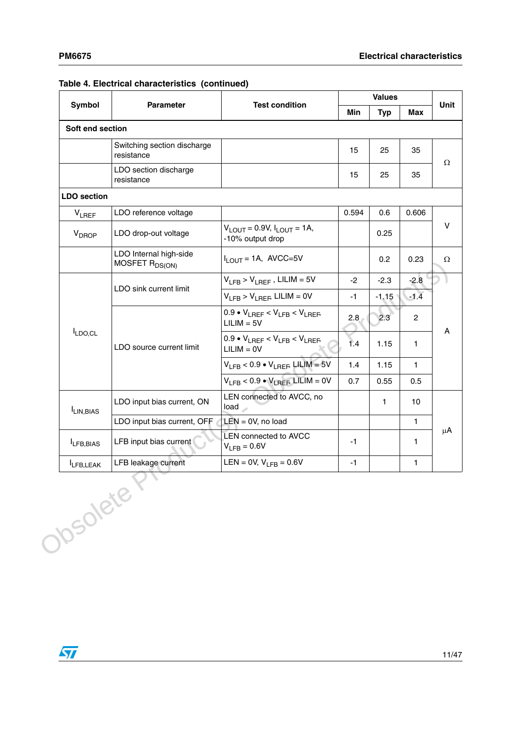|                       | <b>Parameter</b>                                     | <b>Test condition</b>                                     | <b>Values</b> |                  |                   | Unit |
|-----------------------|------------------------------------------------------|-----------------------------------------------------------|---------------|------------------|-------------------|------|
| Symbol                |                                                      |                                                           | <b>Min</b>    | Typ              | Max               |      |
| Soft end section      |                                                      |                                                           |               |                  |                   |      |
|                       | Switching section discharge<br>resistance            |                                                           | 15            | 25               | 35                | Ω    |
|                       | LDO section discharge<br>resistance                  |                                                           | 15            | 25               | 35                |      |
| <b>LDO</b> section    |                                                      |                                                           |               |                  |                   |      |
| <b>VLREF</b>          | LDO reference voltage                                |                                                           | 0.594         | 0.6              | 0.606             |      |
| V <sub>DROP</sub>     | LDO drop-out voltage                                 | $V_{LOUT} = 0.9V, I_{LOUT} = 1A,$<br>-10% output drop     |               | 0.25             |                   | V    |
|                       | LDO Internal high-side<br>MOSFET R <sub>DS(ON)</sub> | $I_{LOUT}$ = 1A, AVCC=5V                                  |               | 0.2 <sub>0</sub> | 0.23              | Ω    |
|                       | LDO sink current limit                               | $V_{LFB}$ > $V_{LBFF}$ , LILIM = 5V                       | $-2$          | $-2.3$           | $-2.8$            |      |
|                       |                                                      | $V_{IFB}$ > $V_{IBFF}$ LILIM = 0V                         | -1            | $-1.15$          | $-1.\overline{4}$ |      |
|                       |                                                      | $0.9 \cdot V_{LREF} < V_{LFB} < V_{LREF}$<br>$LILIM = 5V$ | 2.8           | 2.3              | $\overline{2}$    | A    |
| LDO,CL                | LDO source current limit                             | $0.9 \cdot V_{LREF} < V_{LFB} < V_{LREF}$<br>$LILIM = OV$ | 1.4           | 1.15             | $\mathbf{1}$      |      |
|                       |                                                      | $V_{LFB}$ < 0.9 • $V_{LREF}$ LILIM = 5V                   | 1.4           | 1.15             | $\mathbf{1}$      |      |
|                       |                                                      | $V_{LFB}$ < 0.9 $\bullet$ $V_{LREF}$ LILIM = 0V           | 0.7           | 0.55             | 0.5               |      |
| I <sub>LIN,BIAS</sub> | LDO input bias current, ON                           | LEN connected to AVCC, no<br>load                         |               | 1                | 10                |      |
|                       | LDO input bias current, OFF                          | $LEN = 0V$ , no load                                      |               |                  | $\mathbf{1}$      |      |
| LFB, BIAS             | LFB input bias current                               | <b>LEN connected to AVCC</b><br>$V_{LFB} = 0.6V$          | -1            |                  | 1.                | μA   |
| LFB, LEAK             | LFB leakage current<br>Obsoleter                     | LEN = 0V, $V_{1FB} = 0.6V$                                | -1            |                  | $\mathbf{1}$      |      |

### **Table 4. Electrical characteristics (continued)**

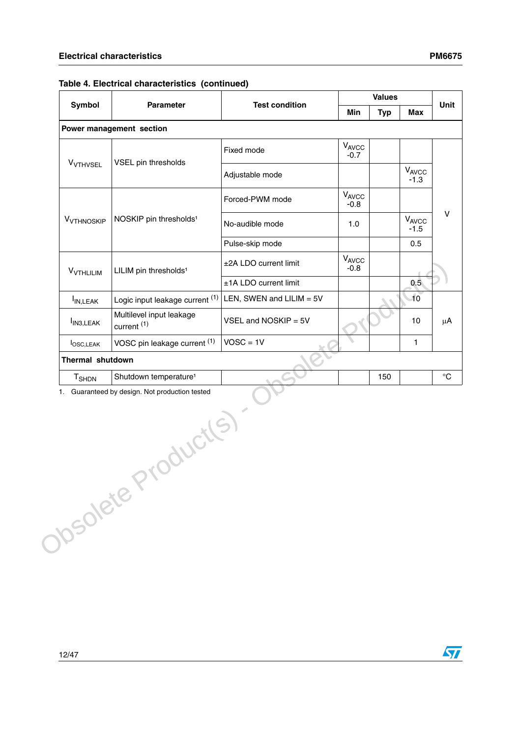|                             |                                                    |                          | <b>Values</b>   |            |                      | Unit |
|-----------------------------|----------------------------------------------------|--------------------------|-----------------|------------|----------------------|------|
| Symbol                      | <b>Parameter</b>                                   | <b>Test condition</b>    | <b>Min</b>      | <b>Typ</b> | <b>Max</b>           |      |
|                             | Power management section                           |                          |                 |            |                      |      |
|                             | VSEL pin thresholds                                | Fixed mode               | VAVCC<br>$-0.7$ |            |                      |      |
| <b>V<sub>VTHVSEL</sub></b>  |                                                    | Adjustable mode          |                 |            | $V_{AVCC}$<br>$-1.3$ |      |
|                             |                                                    | Forced-PWM mode          | VAVCC<br>$-0.8$ |            |                      |      |
| V <sub>VTHNOSKIP</sub>      | NOSKIP pin thresholds <sup>1</sup>                 | No-audible mode          | 1.0             |            | VAVCC<br>$-1.5$      |      |
|                             |                                                    | Pulse-skip mode          |                 |            | 0.5                  |      |
| <b>V<sub>VTHLILIM</sub></b> | LILIM pin thresholds <sup>1</sup>                  | ±2A LDO current limit    | VAVCC<br>$-0.8$ |            |                      |      |
|                             |                                                    | ±1A LDO current limit    |                 |            | 0.5                  |      |
| I <sub>IN,LEAK</sub>        | Logic input leakage current (1)                    | LEN, SWEN and LILIM = 5V |                 |            | 10                   |      |
| I <sub>IN3, LEAK</sub>      | Multilevel input leakage<br>current <sup>(1)</sup> | VSEL and NOSKIP = 5V     |                 |            | 10                   |      |
| <b>l</b> osc, LEAK          | VOSC pin leakage current (1)                       | $VOSC = 1V$              |                 |            | 1                    |      |
| Thermal shutdown            |                                                    |                          |                 |            |                      |      |
| T <sub>SHDN</sub>           | Shutdown temperature <sup>1</sup>                  |                          |                 | 150        |                      |      |
|                             | 1. Guaranteed by design. Not production tested     |                          |                 |            |                      |      |
| Obsolete P                  | roduct(S)                                          |                          |                 |            |                      |      |
|                             |                                                    |                          |                 |            |                      |      |

| Table 4. Electrical characteristics (continued) |  |
|-------------------------------------------------|--|
|-------------------------------------------------|--|

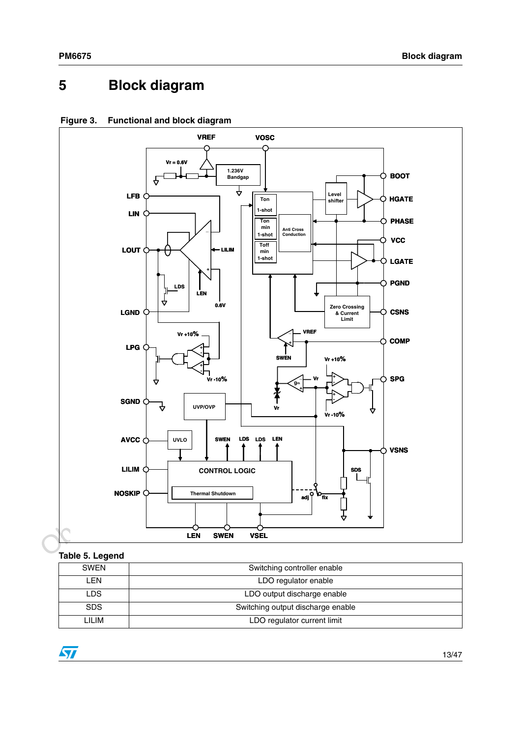# <span id="page-12-0"></span>**5 Block diagram**



**Figure 3. Functional and block diagram**

### **Table 5. Legend**

| <b>SWEN</b> | Switching controller enable       |  |  |  |
|-------------|-----------------------------------|--|--|--|
| ∟EN         | LDO regulator enable              |  |  |  |
| LDS         | LDO output discharge enable       |  |  |  |
| <b>SDS</b>  | Switching output discharge enable |  |  |  |
| LILIM       | LDO regulator current limit       |  |  |  |

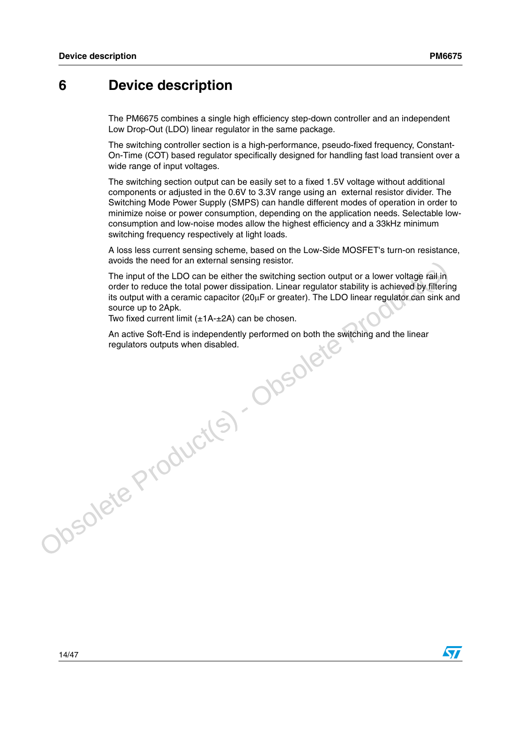## <span id="page-13-0"></span>**6 Device description**

The PM6675 combines a single high efficiency step-down controller and an independent Low Drop-Out (LDO) linear regulator in the same package.

The switching controller section is a high-performance, pseudo-fixed frequency, Constant-On-Time (COT) based regulator specifically designed for handling fast load transient over a wide range of input voltages.

The switching section output can be easily set to a fixed 1.5V voltage without additional components or adjusted in the 0.6V to 3.3V range using an external resistor divider. The Switching Mode Power Supply (SMPS) can handle different modes of operation in order to minimize noise or power consumption, depending on the application needs. Selectable lowconsumption and low-noise modes allow the highest efficiency and a 33kHz minimum switching frequency respectively at light loads.

A loss less current sensing scheme, based on the Low-Side MOSFET's turn-on resistance, avoids the need for an external sensing resistor.

Would be liberal of a law therefore the colorer of the LDO can be either the switching section output or a lower voltage rail in<br>order to reduce the total power dissipation. Linear regulator stability is achieved by filter The input of the LDO can be either the switching section output or a lower voltage rail in order to reduce the total power dissipation. Linear regulator stability is achieved by filtering its output with a ceramic capacitor  $(20\mu\text{F}$  or greater). The LDO linear regulator can sink and source up to 2Apk.

Two fixed current limit (±1A-±2A) can be chosen.

An active Soft-End is independently performed on both the switching and the linear regulators outputs when disabled.

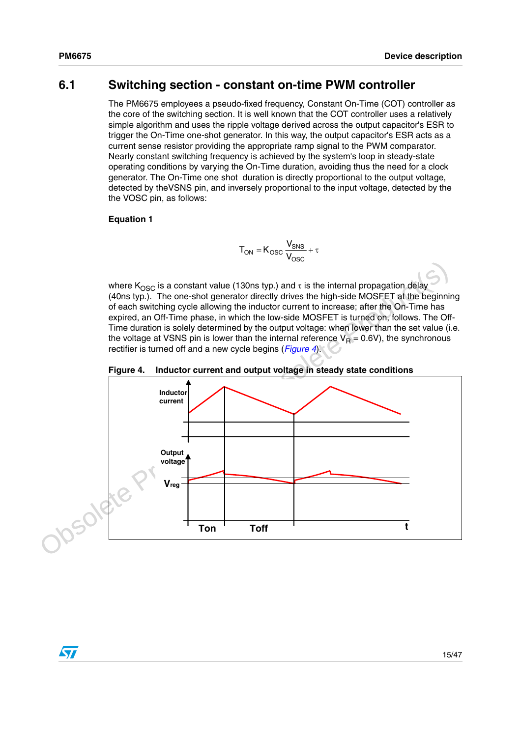$\sqrt{}$ 

## <span id="page-14-0"></span>**6.1 Switching section - constant on-time PWM controller**

The PM6675 employees a pseudo-fixed frequency, Constant On-Time (COT) controller as the core of the switching section. It is well known that the COT controller uses a relatively simple algorithm and uses the ripple voltage derived across the output capacitor's ESR to trigger the On-Time one-shot generator. In this way, the output capacitor's ESR acts as a current sense resistor providing the appropriate ramp signal to the PWM comparator. Nearly constant switching frequency is achieved by the system's loop in steady-state operating conditions by varying the On-Time duration, avoiding thus the need for a clock generator. The On-Time one shot duration is directly proportional to the output voltage, detected by theVSNS pin, and inversely proportional to the input voltage, detected by the the VOSC pin, as follows:

#### **Equation 1**

$$
T_{ON} = K_{OSC} \frac{V_{SNS}}{V_{OSC}} + \tau
$$

where K<sub>OSC</sub> is a constant value (130ns typ.) and  $\tau$  is the internal propagation delay (40ns typ.). The one-shot generator directly drives the high-side MOSFET at the beginning of each switching cycle allowing the inductor current to increase; after the On-Time has expired, an Off-Time phase, in which the low-side MOSFET is turned on, follows. The Off-Time duration is solely determined by the output voltage: when lower than the set value (i.e. the voltage at VSNS pin is lower than the internal reference  $V_R = 0.6V$ ), the synchronous rectifier is turned off and a new cycle begins (*Figure 4*).

<span id="page-14-1"></span>

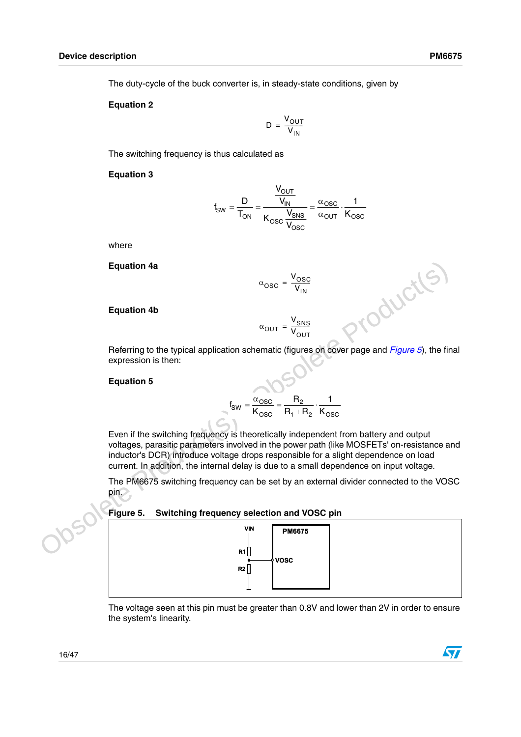The duty-cycle of the buck converter is, in steady-state conditions, given by

#### **Equation 2**

$$
D = \frac{V_{OUT}}{V_{IN}}
$$

The switching frequency is thus calculated as

#### **Equation 3**

$$
f_{SW} = \frac{D}{T_{ON}} = \frac{\frac{V_{OUT}}{V_{IN}}}{K_{OSC} \frac{V_{SNS}}{V_{OSC}}} = \frac{\alpha_{OSC}}{\alpha_{OUT}} \cdot \frac{1}{K_{OSC}}
$$

 $\ddot{\phantom{0}}$ 

where

**Equation 4a**

$$
\alpha_{\rm OSC} = \frac{V_{\rm OSC}}{V_{\rm IN}}
$$

#### **Equation 4b**

$$
\alpha_{\text{OUT}} = \frac{V_{\text{SNS}}}{V_{\text{OUT}}}
$$

 $\alpha_{\text{OUT}} = \frac{V_{\text{SNS}}}{V_{\text{OUT}}}$ <br>Referring to the typical application schematic (figures on cover page and *Figure 5*), the final expression is then:

### **Equation 5**

$$
f_{SW} = \frac{\alpha_{OSC}}{K_{OSC}} = \frac{R_2}{R_1 + R_2} \cdot \frac{1}{K_{OSC}}
$$

Equation 4a<br>  $u_{\text{OSC}} = \frac{v_{\text{SSC}}}{v_{\text{IN}}}$ <br>
Equation 4b<br>  $v_{\text{OUT}} = \frac{v_{\text{SMS}}}{v_{\text{IN}}}$ <br>
Referring to the typical application sohematic (figures on cover page and *Figure 5*), the final<br>
expression is then:<br>
Equation 5<br> Even if the switching frequency is theoretically independent from battery and output voltages, parasitic parameters involved in the power path (like MOSFETs' on-resistance and inductor's DCR) introduce voltage drops responsible for a slight dependence on load current. In addition, the internal delay is due to a small dependence on input voltage.

The PM6675 switching frequency can be set by an external divider connected to the VOSC pin.

#### **Figure 5. Switching frequency selection and VOSC pin**



The voltage seen at this pin must be greater than 0.8V and lower than 2V in order to ensure the system's linearity.

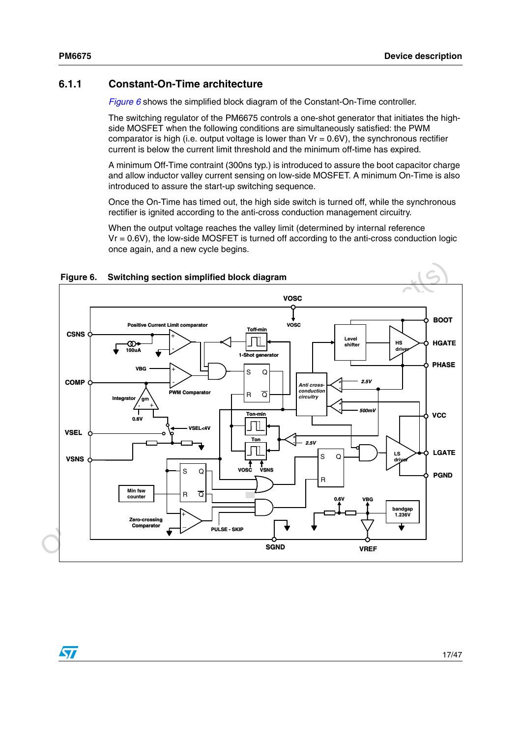### <span id="page-16-0"></span>**6.1.1 Constant-On-Time architecture**

*[Figure 6](#page-16-1)* shows the simplified block diagram of the Constant-On-Time controller.

The switching regulator of the PM6675 controls a one-shot generator that initiates the highside MOSFET when the following conditions are simultaneously satisfied: the PWM comparator is high (i.e. output voltage is lower than  $Vr = 0.6V$ ), the synchronous rectifier current is below the current limit threshold and the minimum off-time has expired.

A minimum Off-Time contraint (300ns typ.) is introduced to assure the boot capacitor charge and allow inductor valley current sensing on low-side MOSFET. A minimum On-Time is also introduced to assure the start-up switching sequence.

Once the On-Time has timed out, the high side switch is turned off, while the synchronous rectifier is ignited according to the anti-cross conduction management circuitry.

When the output voltage reaches the valley limit (determined by internal reference  $V = 0.6V$ , the low-side MOSFET is turned off according to the anti-cross conduction logic once again, and a new cycle begins.



## <span id="page-16-1"></span>**Figure 6. Switching section simplified block diagram**

 $\sqrt{2}$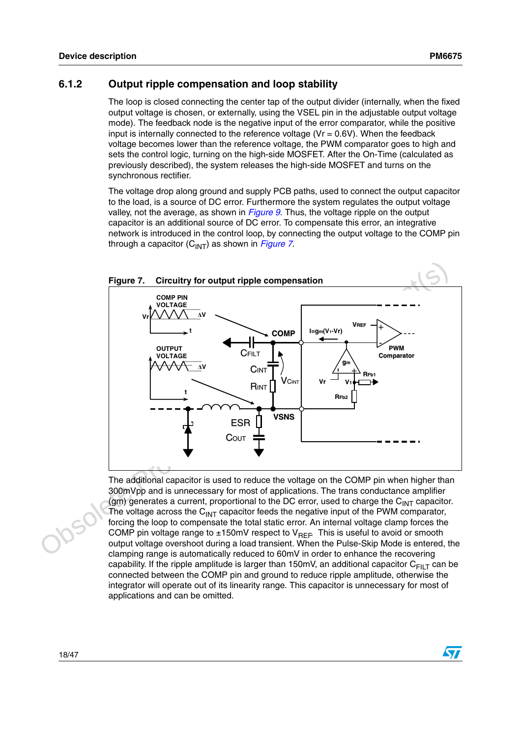$\sqrt{2}$ 

### <span id="page-17-0"></span>**6.1.2 Output ripple compensation and loop stability**

The loop is closed connecting the center tap of the output divider (internally, when the fixed output voltage is chosen, or externally, using the VSEL pin in the adjustable output voltage mode). The feedback node is the negative input of the error comparator, while the positive input is internally connected to the reference voltage ( $Vr = 0.6V$ ). When the feedback voltage becomes lower than the reference voltage, the PWM comparator goes to high and sets the control logic, turning on the high-side MOSFET. After the On-Time (calculated as previously described), the system releases the high-side MOSFET and turns on the synchronous rectifier.

The voltage drop along ground and supply PCB paths, used to connect the output capacitor to the load, is a source of DC error. Furthermore the system regulates the output voltage valley, not the average, as shown in *[Figure 9](#page-21-1)*. Thus, the voltage ripple on the output capacitor is an additional source of DC error. To compensate this error, an integrative network is introduced in the control loop, by connecting the output voltage to the COMP pin through a capacitor (C<sub>INT</sub>) as shown in *Figure 7*.



The additional capacitor is used to reduce the voltage on the COMP pin when higher than 300mVpp and is unnecessary for most of applications. The trans conductance amplifier (gm) generates a current, proportional to the DC error, used to charge the  $C_{\text{INT}}$  capacitor. The voltage across the  $C<sub>INT</sub>$  capacitor feeds the negative input of the PWM comparator, forcing the loop to compensate the total static error. An internal voltage clamp forces the COMP pin voltage range to  $\pm 150$ mV respect to V<sub>REF</sub>. This is useful to avoid or smooth output voltage overshoot during a load transient. When the Pulse-Skip Mode is entered, the clamping range is automatically reduced to 60mV in order to enhance the recovering capability. If the ripple amplitude is larger than 150mV, an additional capacitor  $C_{FII}$  can be connected between the COMP pin and ground to reduce ripple amplitude, otherwise the integrator will operate out of its linearity range. This capacitor is unnecessary for most of applications and can be omitted.

18/47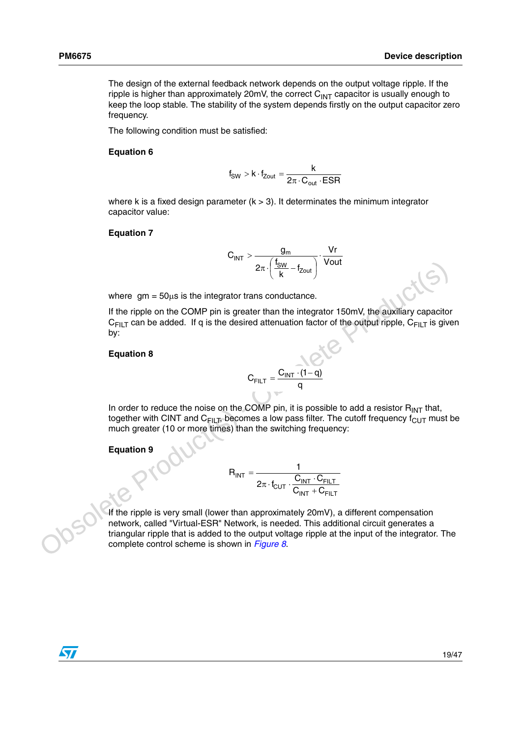The design of the external feedback network depends on the output voltage ripple. If the ripple is higher than approximately 20mV, the correct  $C<sub>INT</sub>$  capacitor is usually enough to keep the loop stable. The stability of the system depends firstly on the output capacitor zero frequency.

The following condition must be satisfied:

#### **Equation 6**

$$
f_{SW} > k \cdot f_{Zout} = \frac{k}{2\pi \cdot C_{out} \cdot ESR}
$$

where k is a fixed design parameter  $(k > 3)$ . It determinates the minimum integrator capacitor value:

#### **Equation 7**

$$
C_{INT} > \frac{g_m}{2\pi\cdot\left(\frac{f_{SW}}{k}-f_{Zout}\right)}\cdot\frac{Vr}{Vout}
$$

where  $gm = 50\mu s$  is the integrator trans conductance.

If the ripple on the COMP pin is greater than the integrator 150mV, the auxiliary capacitor  $C_{FII T}$  can be added. If q is the desired attenuation factor of the output ripple,  $C_{FII T}$  is given by:

#### **Equation 8**

$$
C_{FILT} = \frac{C_{INT} \cdot (1-q)}{q}
$$

In order to reduce the noise on the COMP pin, it is possible to add a resistor  $R_{INT}$  that, together with CINT and  $C_{\text{FILT}}$ , becomes a low pass filter. The cutoff frequency  $f_{\text{CUT}}$  must be much greater (10 or more times) than the switching frequency:

#### **Equation 9**

$$
R_{INT} = \frac{1}{2\pi \cdot f_{CUT} \cdot \frac{C_{INT} \cdot C_{FILT}}{C_{INT} + C_{FILT}}}
$$

 $2\pi \cdot \left(\frac{1 \text{ g_W}}{\text{g_W}} - t_{\text{Zout}}\right)$  Vout<br>
Where gm = 50<sub>Hs</sub> is the integrator trans conductance.<br>
If the ripple on the COMP pin is greater than the integrator 150mV, the auxiliary capacitor<br>
C<sub>FILT</sub> can be added. If q i If the ripple is very small (lower than approximately 20mV), a different compensation network, called "Virtual-ESR" Network, is needed. This additional circuit generates a triangular ripple that is added to the output voltage ripple at the input of the integrator. The complete control scheme is shown in *Figure 8*.

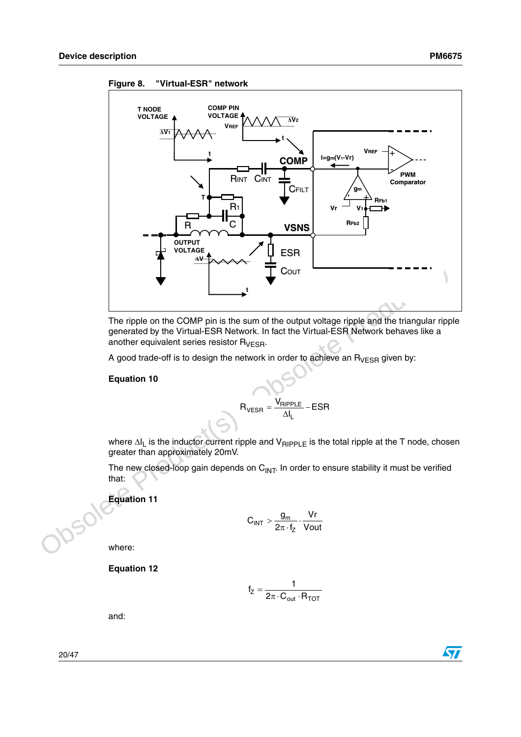

<span id="page-19-0"></span>**Figure 8. "Virtual-ESR" network**

The ripple on the COMP pin is the sum of the output voltage ripple and the triangular ripple generated by the Virtual-ESR Network. In fact the Virtual-ESR Network behaves like a another equivalent series resistor  $R_{VESR}$ .

A good trade-off is to design the network in order to achieve an  $R_{VESR}$  given by:

### **Equation 10**

$$
R_{\text{VESR}} = \frac{V_{\text{RIPPLE}}}{\Delta I_L} - ESR
$$

where ∆I<sub>L</sub> is the inductor current ripple and V<sub>RIPPLE</sub> is the total ripple at the T node, chosen greater than approximately 20mV.

The new closed-loop gain depends on  $C_{\text{INT}}$ . In order to ensure stability it must be verified that:

**Equation 11**

$$
C_{INT} > \frac{g_m}{2\pi \cdot f_Z} \cdot \frac{Vr}{Vout}
$$

where:

**Equation 12**

$$
f_Z = \frac{1}{2\pi \cdot C_{out} \cdot R_{TOT}}
$$

and:

20/47

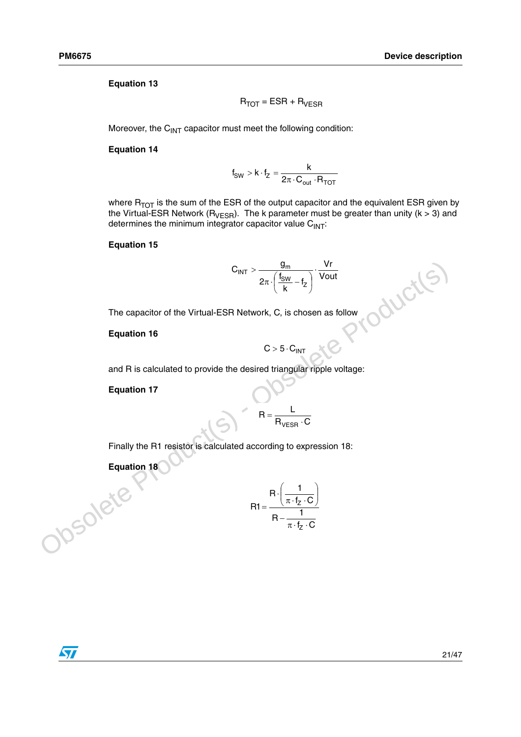### **Equation 13**

$$
R_{TOT} = ESR + R_{VESR}
$$

Moreover, the  $C<sub>INT</sub>$  capacitor must meet the following condition:

#### **Equation 14**

$$
f_{SW} > k \cdot f_Z = \frac{k}{2\pi \cdot C_{out} \cdot R_{TOT}}
$$

where  $R_{TOT}$  is the sum of the ESR of the output capacitor and the equivalent ESR given by the Virtual-ESR Network ( $R_{VESR}$ ). The k parameter must be greater than unity (k > 3) and determines the minimum integrator capacitor value  $C_{INT}$ :

### **Equation 15**

The capacitor of the Virtual-ESR Network, C, is chosen as follow  
\nEquation 16  
\n
$$
C > 5 \cdot C_{INT}
$$
\nand R is calculated to provide the desired triangular ripple voltage:  
\nEquation 17  
\nR =  $\frac{L}{R_{VESR} \cdot C}$   
\nFinally the R1 resistor is calculated according to expression 18:  
\nEquation 18  
\n
$$
R = \frac{L}{R_{VESR} \cdot C}
$$
\n
$$
= \frac{R \cdot \left(\frac{1}{\pi \cdot f_Z \cdot C}\right)}{R - \frac{1}{\pi \cdot f_Z \cdot C}}
$$

#### **Equation 16**

$$
C > 5 \cdot C_{INT}
$$
  
and R is calculated to provide the desired triangular ripple voltage:

**Equation 17**

$$
R = \frac{L}{R_{VESR} \cdot C}
$$

Finally the R1 resistor is calculated according to expression 18:

**Equation 18** 

$$
R1 = \frac{R \cdot \left(\frac{1}{\pi \cdot f_Z \cdot C}\right)}{R - \frac{1}{\pi \cdot f_Z \cdot C}}
$$

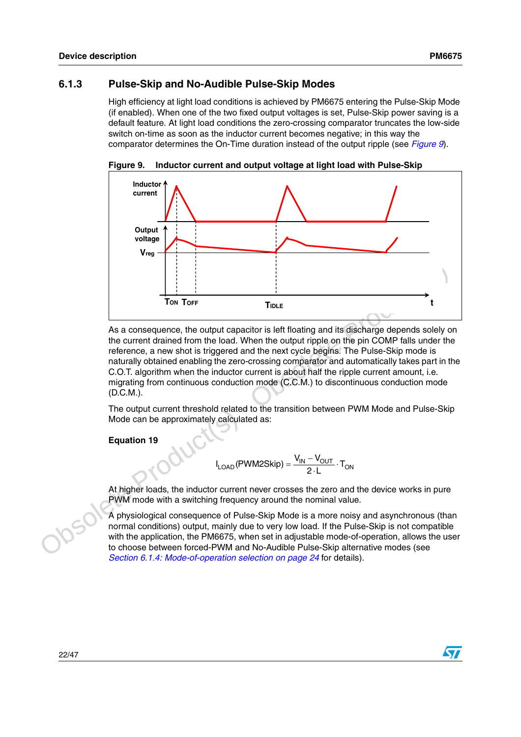### <span id="page-21-0"></span>**6.1.3 Pulse-Skip and No-Audible Pulse-Skip Modes**

High efficiency at light load conditions is achieved by PM6675 entering the Pulse-Skip Mode (if enabled). When one of the two fixed output voltages is set, Pulse-Skip power saving is a default feature. At light load conditions the zero-crossing comparator truncates the low-side switch on-time as soon as the inductor current becomes negative; in this way the comparator determines the On-Time duration instead of the output ripple (see *[Figure 9](#page-21-1)*).

<span id="page-21-1"></span>**Figure 9. Inductor current and output voltage at light load with Pulse-Skip** 



Tow<br>
Tow Tore<br>
The Control of the coupled capacitor is left floating and its discharge depends solely on<br>
the current drained from the load. When the cutret riple on the pin COMP falls under the<br>
reference, a new shot is As a consequence, the output capacitor is left floating and its discharge depends solely on the current drained from the load. When the output ripple on the pin COMP falls under the reference, a new shot is triggered and the next cycle begins. The Pulse-Skip mode is naturally obtained enabling the zero-crossing comparator and automatically takes part in the C.O.T. algorithm when the inductor current is about half the ripple current amount, i.e. migrating from continuous conduction mode (C.C.M.) to discontinuous conduction mode (D.C.M.).

The output current threshold related to the transition between PWM Mode and Pulse-Skip Mode can be approximately calculated as:

**Equation 19**

$$
I_{\text{LOAD}}(\text{PWM2Skip}) = \frac{V_{\text{IN}} - V_{\text{OUT}}}{2 \cdot L} \cdot T_{\text{ON}}
$$

At higher loads, the inductor current never crosses the zero and the device works in pure PWM mode with a switching frequency around the nominal value.

A physiological consequence of Pulse-Skip Mode is a more noisy and asynchronous (than normal conditions) output, mainly due to very low load. If the Pulse-Skip is not compatible with the application, the PM6675, when set in adjustable mode-of-operation, allows the user to choose between forced-PWM and No-Audible Pulse-Skip alternative modes (see *[Section 6.1.4: Mode-of-operation selection on page 24](#page-23-0)* for details).

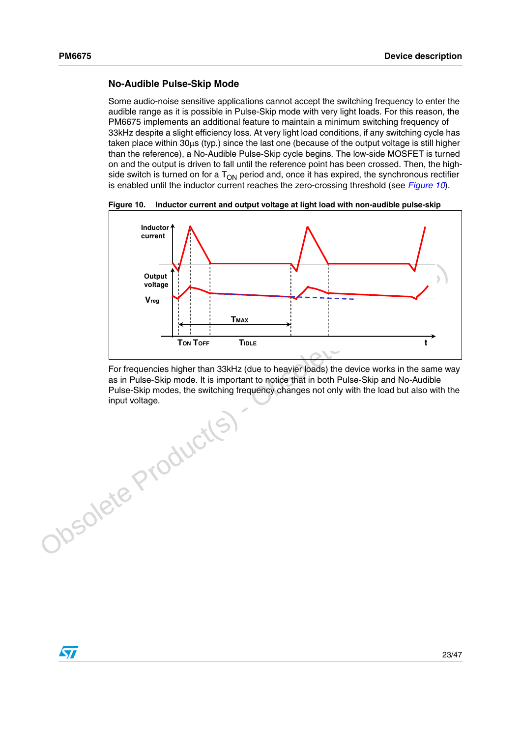### **No-Audible Pulse-Skip Mode**

Some audio-noise sensitive applications cannot accept the switching frequency to enter the audible range as it is possible in Pulse-Skip mode with very light loads. For this reason, the PM6675 implements an additional feature to maintain a minimum switching frequency of 33kHz despite a slight efficiency loss. At very light load conditions, if any switching cycle has taken place within 30µs (typ.) since the last one (because of the output voltage is still higher than the reference), a No-Audible Pulse-Skip cycle begins. The low-side MOSFET is turned on and the output is driven to fall until the reference point has been crossed. Then, the highside switch is turned on for a  $T_{ON}$  period and, once it has expired, the synchronous rectifier is enabled until the inductor current reaches the zero-crossing threshold (see *[Figure 10](#page-22-0)*).

<span id="page-22-0"></span>



For frequencies higher than 33kHz (due to heavier loads) the device works in the same way as in Pulse-Skip mode. It is important to notice that in both Pulse-Skip and No-Audible Pulse-Skip modes, the switching frequency changes not only with the load but also with the input voltage.

 $\sqrt{2}$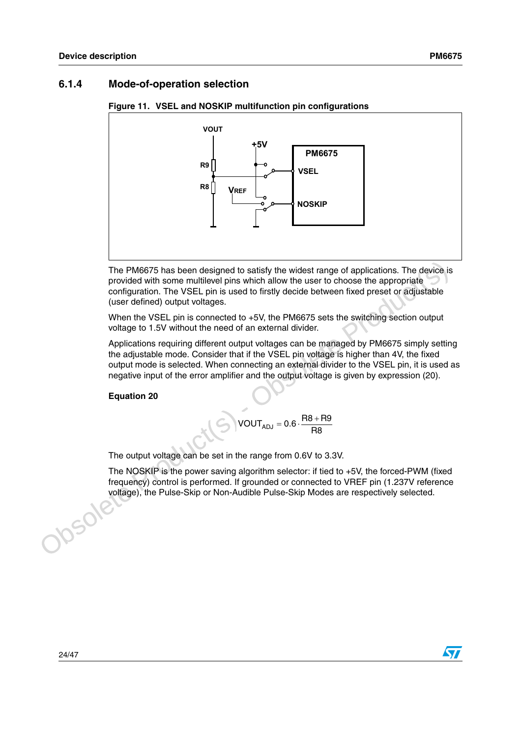## <span id="page-23-0"></span>**6.1.4 Mode-of-operation selection**



#### **Figure 11. VSEL and NOSKIP multifunction pin configurations**

The PM6675 has been designed to satisfy the widest range of applications. The device is provided with some multilevel pins which allow the user to choose the appropriate configuration. The VSEL pin is used to firstly decide between fixed preset or adjustable (user defined) output voltages.

When the VSEL pin is connected to +5V, the PM6675 sets the switching section output voltage to 1.5V without the need of an external divider.

The PM6675 has been designed to satisfy the widest range of applications. The device is<br>provided with some multilevel pins withet allow the user to choose the appropriate<br>configuration. The VSEL pin is used to firstly dec Applications requiring different output voltages can be managed by PM6675 simply setting the adjustable mode. Consider that if the VSEL pin voltage is higher than 4V, the fixed output mode is selected. When connecting an external divider to the VSEL pin, it is used as negative input of the error amplifier and the output voltage is given by expression (20).

**Equation 20**

$$
VOUT_{ADJ}=0.6\cdot\frac{R8+R9}{R8}
$$

The output voltage can be set in the range from 0.6V to 3.3V.

The NOSKIP is the power saving algorithm selector: if tied to +5V, the forced-PWM (fixed frequency) control is performed. If grounded or connected to VREF pin (1.237V reference voltage), the Pulse-Skip or Non-Audible Pulse-Skip Modes are respectively selected.

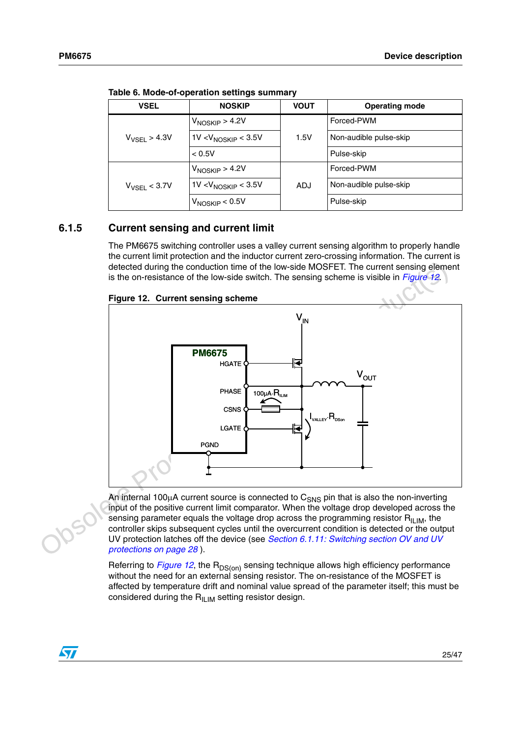| <b>VSEL</b>       | <b>NOSKIP</b>                   | <b>VOUT</b> | <b>Operating mode</b>  |  |  |
|-------------------|---------------------------------|-------------|------------------------|--|--|
|                   | $V_{NOSKIP} > 4.2V$             |             | Forced-PWM             |  |  |
| $V_{VSEL}$ > 4.3V | 1V < V <sub>NOSKIP</sub> < 3.5V | 1.5V        | Non-audible pulse-skip |  |  |
|                   | < 0.5V                          |             | Pulse-skip             |  |  |
|                   | $V_{NOSKIP} > 4.2V$             |             | Forced-PWM             |  |  |
| $V_{VSEL}$ < 3.7V | 1V < V <sub>NOSKIP</sub> < 3.5V | <b>ADJ</b>  | Non-audible pulse-skip |  |  |
|                   | $V_{NOSKIP}$ < 0.5V             |             | Pulse-skip             |  |  |

**Table 6. Mode-of-operation settings summary**

### <span id="page-24-0"></span>**6.1.5 Current sensing and current limit**

The PM6675 switching controller uses a valley current sensing algorithm to properly handle the current limit protection and the inductor current zero-crossing information. The current is detected during the conduction time of the low-side MOSFET. The current sensing element is the on-resistance of the low-side switch. The sensing scheme is visible in *Figure 12*.



<span id="page-24-1"></span>

An internal 100 $\mu$ A current source is connected to  $C_{SNS}$  pin that is also the non-inverting input of the positive current limit comparator. When the voltage drop developed across the sensing parameter equals the voltage drop across the programming resistor  $R_{\text{ILIM}}$ , the controller skips subsequent cycles until the overcurrent condition is detected or the output UV protection latches off the device (see *Section 6.1.11: Switching section OV and UV protections on page 28* ).

Referring to *[Figure 12](#page-24-1)*, the R<sub>DS(on)</sub> sensing technique allows high efficiency performance without the need for an external sensing resistor. The on-resistance of the MOSFET is affected by temperature drift and nominal value spread of the parameter itself; this must be considered during the  $R_{II,IM}$  setting resistor design.

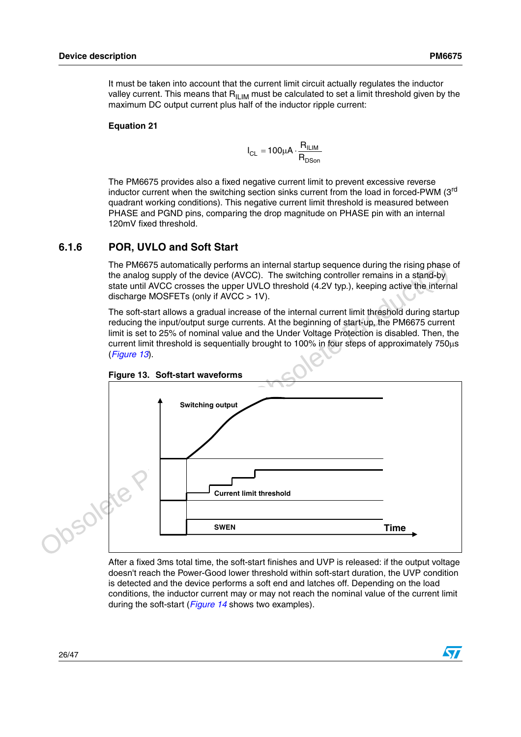It must be taken into account that the current limit circuit actually regulates the inductor valley current. This means that  $R<sub>II IM</sub>$  must be calculated to set a limit threshold given by the maximum DC output current plus half of the inductor ripple current:

#### **Equation 21**

$$
I_{CL} = 100 \mu A \cdot \frac{R_{ILIM}}{R_{DSon}}
$$

The PM6675 provides also a fixed negative current limit to prevent excessive reverse inductor current when the switching section sinks current from the load in forced-PWM (3<sup>rd</sup> quadrant working conditions). This negative current limit threshold is measured between PHASE and PGND pins, comparing the drop magnitude on PHASE pin with an internal 120mV fixed threshold.

### <span id="page-25-0"></span>**6.1.6 POR, UVLO and Soft Start**

The PM6675 automatically performs an internal startup sequence during the rising phase of the analog supply of the device (AVCC). The switching controller remains in a stand-by state until AVCC crosses the upper UVLO threshold (4.2V typ.), keeping active the internal discharge MOSFETs (only if AVCC > 1V).

The soft-start allows a gradual increase of the internal current limit threshold during startup reducing the input/output surge currents. At the beginning of start-up, the PM6675 current limit is set to 25% of nominal value and the Under Voltage Protection is disabled. Then, the current limit threshold is sequentially brought to 100% in four steps of approximately 750µs (*Figure 13*).



<span id="page-25-1"></span>

After a fixed 3ms total time, the soft-start finishes and UVP is released: if the output voltage doesn't reach the Power-Good lower threshold within soft-start duration, the UVP condition is detected and the device performs a soft end and latches off. Depending on the load conditions, the inductor current may or may not reach the nominal value of the current limit during the soft-start (*[Figure 14](#page-26-2)* shows two examples).

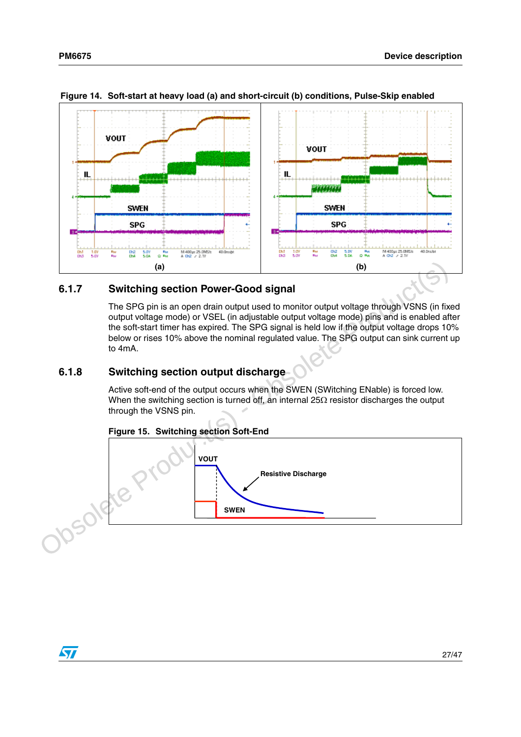

<span id="page-26-2"></span>**Figure 14. Soft-start at heavy load (a) and short-circuit (b) conditions, Pulse-Skip enabled**

### <span id="page-26-0"></span>**Switching section Power-Good signal**

The SPG pin is an open drain output used to monitor output voltage through VSNS (in fixed output voltage mode) or VSEL (in adjustable output voltage mode) pins and is enabled after the soft-start timer has expired. The SPG signal is held low if the output voltage drops 10% below or rises 10% above the nominal regulated value. The SPG output can sink current up to 4mA.

## <span id="page-26-1"></span>**6.1.8 Switching section output discharge**

Active soft-end of the output occurs when the SWEN (SWitching ENable) is forced low. When the switching section is turned off, an internal 25Ω resistor discharges the output through the VSNS pin.



### **Figure 15. Switching section Soft-End**

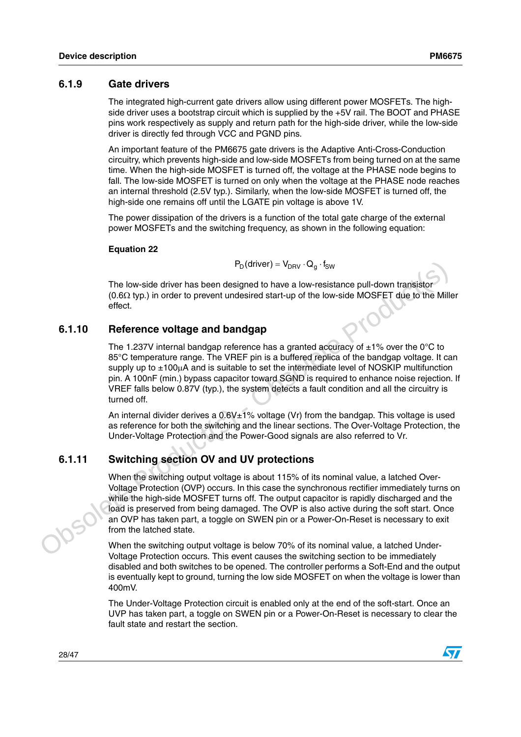### <span id="page-27-0"></span>**6.1.9 Gate drivers**

The integrated high-current gate drivers allow using different power MOSFETs. The highside driver uses a bootstrap circuit which is supplied by the +5V rail. The BOOT and PHASE pins work respectively as supply and return path for the high-side driver, while the low-side driver is directly fed through VCC and PGND pins.

An important feature of the PM6675 gate drivers is the Adaptive Anti-Cross-Conduction circuitry, which prevents high-side and low-side MOSFETs from being turned on at the same time. When the high-side MOSFET is turned off, the voltage at the PHASE node begins to fall. The low-side MOSFET is turned on only when the voltage at the PHASE node reaches an internal threshold (2.5V typ.). Similarly, when the low-side MOSFET is turned off, the high-side one remains off until the LGATE pin voltage is above 1V.

The power dissipation of the drivers is a function of the total gate charge of the external power MOSFETs and the switching frequency, as shown in the following equation:

### **Equation 22**

$$
P_D(\text{driver}) = V_{DRV} \cdot Q_g \cdot f_{SW}
$$

The low-side driver has been designed to have a low-resistance pull-down transistor (0.6Ω typ.) in order to prevent undesired start-up of the low-side MOSFET due to the Miller effect.

### <span id="page-27-1"></span>**6.1.10 Reference voltage and bandgap**

The 1.237V internal bandgap reference has a granted accuracy of  $\pm 1\%$  over the 0°C to 85°C temperature range. The VREF pin is a buffered replica of the bandgap voltage. It can supply up to  $\pm 100\mu A$  and is suitable to set the intermediate level of NOSKIP multifunction pin. A 100nF (min.) bypass capacitor toward SGND is required to enhance noise rejection. If VREF falls below 0.87V (typ.), the system detects a fault condition and all the circuitry is turned off.

An internal divider derives a  $0.6V<sub>±</sub>1%$  voltage (Vr) from the bandgap. This voltage is used as reference for both the switching and the linear sections. The Over-Voltage Protection, the Under-Voltage Protection and the Power-Good signals are also referred to Vr.

### <span id="page-27-2"></span>**6.1.11 Switching section OV and UV protections**

 $P_0$ (driver) – V<sub>pry</sub>,  $Q_a$  : <sup>5</sup><sub>5</sub>w<br>
The low-side driver has been designed to have a low-resistance pull-down transistor<br>
(0.60 typ.) in order to prevent undesired start-up of the low-side MOSFET due to the Miller<br>
eff When the switching output voltage is about 115% of its nominal value, a latched Over-Voltage Protection (OVP) occurs. In this case the synchronous rectifier immediately turns on while the high-side MOSFET turns off. The output capacitor is rapidly discharged and the load is preserved from being damaged. The OVP is also active during the soft start. Once an OVP has taken part, a toggle on SWEN pin or a Power-On-Reset is necessary to exit from the latched state.

When the switching output voltage is below 70% of its nominal value, a latched Under-Voltage Protection occurs. This event causes the switching section to be immediately disabled and both switches to be opened. The controller performs a Soft-End and the output is eventually kept to ground, turning the low side MOSFET on when the voltage is lower than 400mV.

The Under-Voltage Protection circuit is enabled only at the end of the soft-start. Once an UVP has taken part, a toggle on SWEN pin or a Power-On-Reset is necessary to clear the fault state and restart the section.



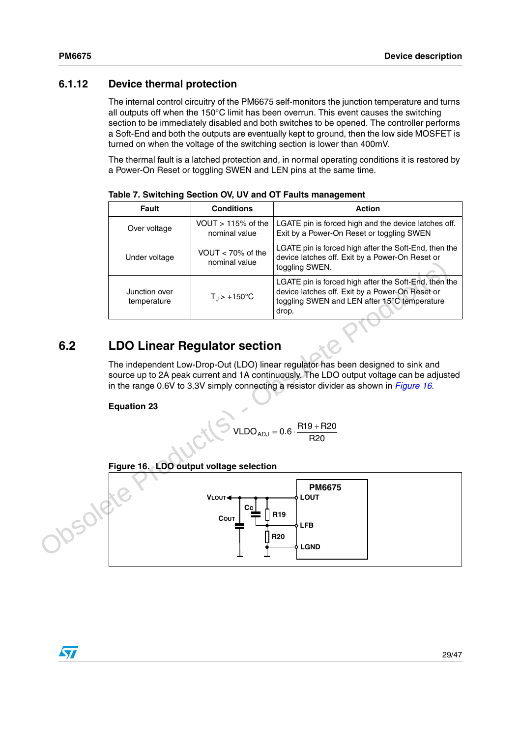## <span id="page-28-0"></span>**6.1.12 Device thermal protection**

The internal control circuitry of the PM6675 self-monitors the junction temperature and turns all outputs off when the 150°C limit has been overrun. This event causes the switching section to be immediately disabled and both switches to be opened. The controller performs a Soft-End and both the outputs are eventually kept to ground, then the low side MOSFET is turned on when the voltage of the switching section is lower than 400mV.

The thermal fault is a latched protection and, in normal operating conditions it is restored by a Power-On Reset or toggling SWEN and LEN pins at the same time.

| <b>Fault</b>                 | <b>Conditions</b>                     | <b>Action</b>                                                                                                                                                     |
|------------------------------|---------------------------------------|-------------------------------------------------------------------------------------------------------------------------------------------------------------------|
| Over voltage                 | VOUT $> 115%$ of the<br>nominal value | LGATE pin is forced high and the device latches off.<br>Exit by a Power-On Reset or toggling SWEN                                                                 |
| Under voltage                | VOUT $<$ 70% of the<br>nominal value  | LGATE pin is forced high after the Soft-End, then the<br>device latches off. Exit by a Power-On Reset or<br>toggling SWEN.                                        |
| Junction over<br>temperature | $T_{\rm J}$ > +150°C                  | LGATE pin is forced high after the Soft-End, then the<br>device latches off. Exit by a Power-On Reset or<br>toggling SWEN and LEN after 15°C temperature<br>drop. |

**Table 7. Switching Section OV, UV and OT Faults management**

## <span id="page-28-1"></span>**6.2 LDO Linear Regulator section**

The independent Low-Drop-Out (LDO) linear regulator has been designed to sink and source up to 2A peak current and 1A continuously. The LDO output voltage can be adjusted in the range 0.6V to 3.3V simply connecting a resistor divider as shown in *Figure 16*.

**Equation 23**

$$
VLDO_{ADJ} = 0.6 \cdot \frac{R19 + R20}{R20}
$$

<span id="page-28-2"></span>

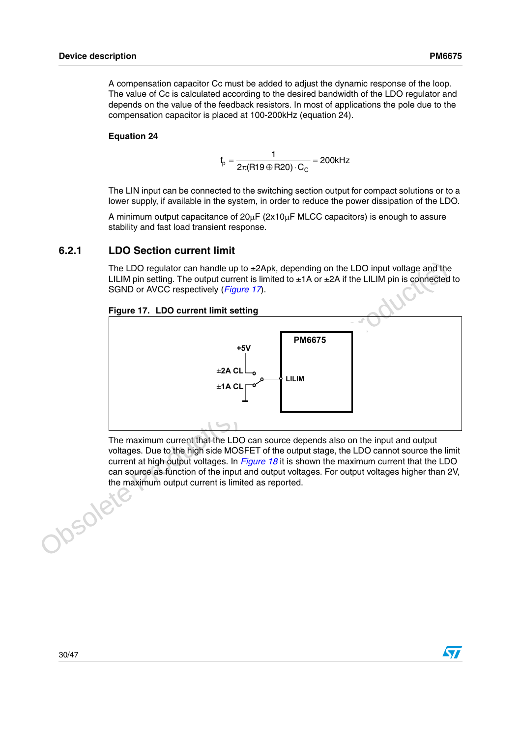A compensation capacitor Cc must be added to adjust the dynamic response of the loop. The value of Cc is calculated according to the desired bandwidth of the LDO regulator and depends on the value of the feedback resistors. In most of applications the pole due to the compensation capacitor is placed at 100-200kHz (equation 24).

#### **Equation 24**

 ${\rm f}_{\rm p} = \frac{1}{2\pi ({\sf R19}\oplus {\sf R20})\cdot {\sf C}_{\rm C}}$  = 200kHz  $E_p^{\rm i} = \frac{1}{2\pi (R19 \oplus R20) \cdot C_{\rm C}} =$ 

The LIN input can be connected to the switching section output for compact solutions or to a lower supply, if available in the system, in order to reduce the power dissipation of the LDO.

A minimum output capacitance of 20µF (2x10µF MLCC capacitors) is enough to assure stability and fast load transient response.

### <span id="page-29-0"></span>**6.2.1 LDO Section current limit**

The LDO regulator can handle up to  $\pm 2$ Apk, depending on the LDO input voltage and the LILIM pin setting. The output current is limited to  $\pm 1A$  or  $\pm 2A$  if the LILIM pin is connected to SGND or AVCC respectively (*Figure 17*).

### <span id="page-29-1"></span>**Figure 17. LDO current limit setting**



The maximum current that the LDO can source depends also on the input and output voltages. Due to the high side MOSFET of the output stage, the LDO cannot source the limit current at high output voltages. In *Figure 18* it is shown the maximum current that the LDO can source as function of the input and output voltages. For output voltages higher than 2V,<br>the maximum output current is limited as reported. the maximum output current is limited as reported.



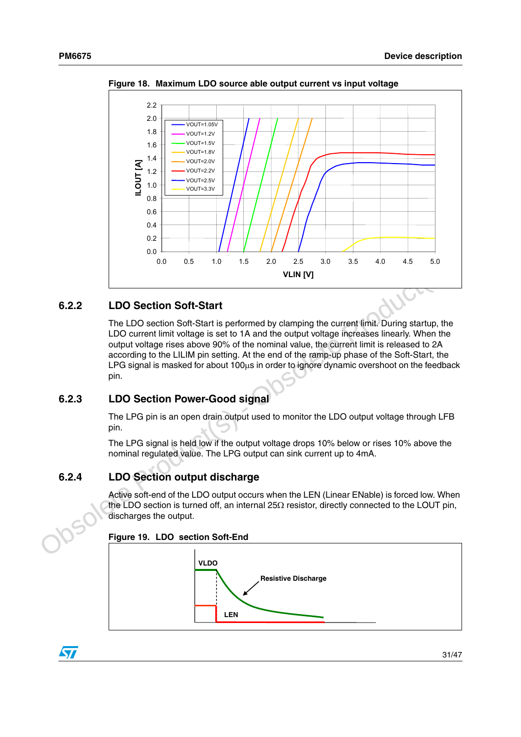

<span id="page-30-3"></span>**Figure 18. Maximum LDO source able output current vs input voltage** 

## <span id="page-30-0"></span>**6.2.2 LDO Section Soft-Start**

Compared The LDO Section Soft-Start<br>
The LDO section Soft-Start<br>
The LDO section Soft-Start<br>
The LDO section Soft-Start<br>
LDO Universide Product (s) also a the angular burge inversion function of<br>
LDO Section Soft-Start is The LDO section Soft-Start is performed by clamping the current limit. During startup, the LDO current limit voltage is set to 1A and the output voltage increases linearly. When the output voltage rises above 90% of the nominal value, the current limit is released to 2A according to the LILIM pin setting. At the end of the ramp-up phase of the Soft-Start, the LPG signal is masked for about 100µs in order to ignore dynamic overshoot on the feedback pin.

## <span id="page-30-1"></span>**6.2.3 LDO Section Power-Good signal**

The LPG pin is an open drain output used to monitor the LDO output voltage through LFB pin.

The LPG signal is held low if the output voltage drops 10% below or rises 10% above the nominal regulated value. The LPG output can sink current up to 4mA.

## <span id="page-30-2"></span>**6.2.4 LDO Section output discharge**

Active soft-end of the LDO output occurs when the LEN (Linear ENable) is forced low. When the LDO section is turned off, an internal 25 $\Omega$  resistor, directly connected to the LOUT pin, discharges the output.





 $\sqrt{}$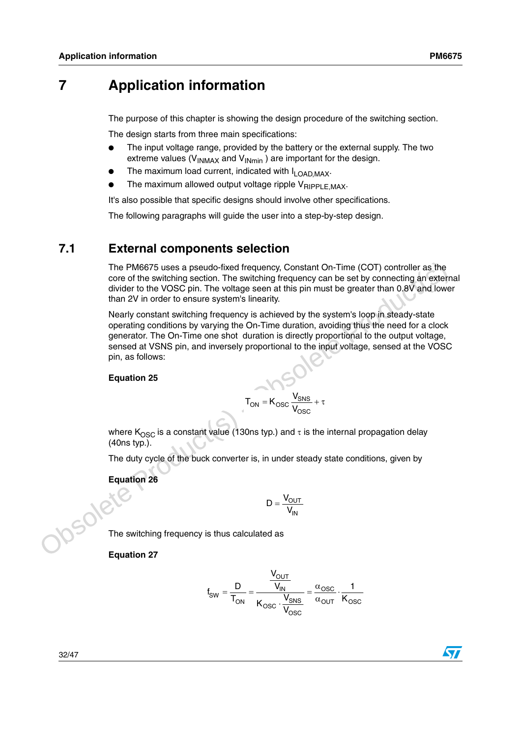## <span id="page-31-0"></span>**7 Application information**

The purpose of this chapter is showing the design procedure of the switching section.

The design starts from three main specifications:

- The input voltage range, provided by the battery or the external supply. The two extreme values ( $V_{INMAX}$  and  $V_{INmin}$ ) are important for the design.
- The maximum load current, indicated with  $I_{\text{LOAD,MAX}}$ .
- The maximum allowed output voltage ripple  $V_{RIPPLE,MAX}$ .

It's also possible that specific designs should involve other specifications.

The following paragraphs will guide the user into a step-by-step design.

## <span id="page-31-1"></span>**7.1 External components selection**

The PM6675 uses a pseudo-fixed frequency, Constant On-Time (COT) controller as the core of the switching section. The switching frequency can be set by connecting an external divider to the VOSC pin. The voltage seen at this pin must be greater than 0.8V and lower than 2V in order to ensure system's linearity.

The PM6675 uses a pseudo-fixed frequency, Constant On-Time (COT) controller as the<br>core of the switching section. The switching frequency can be set by connecting an external<br>divider to the VOSC pin. The voltage seen at t Nearly constant switching frequency is achieved by the system's loop in steady-state operating conditions by varying the On-Time duration, avoiding thus the need for a clock generator. The On-Time one shot duration is directly proportional to the output voltage, sensed at VSNS pin, and inversely proportional to the input voltage, sensed at the VOSC pin, as follows:

#### **Equation 25**

$$
T_{ON} = K_{OSC} \frac{V_{SNS}}{V_{OSC}} + \tau
$$

where K<sub>OSC</sub> is a constant value (130ns typ.) and  $\tau$  is the internal propagation delay (40ns typ.).

The duty cycle of the buck converter is, in under steady state conditions, given by

$$
D = \frac{V_{OUT}}{V_{IN}}
$$

Equation 26 The switching frequency is thus calculated as

**Equation 27**

$$
f_{SW} = \frac{D}{T_{ON}} = \frac{\frac{V_{OUT}}{V_{IN}}}{K_{OSC} \cdot \frac{V_{SNS}}{V_{OSC}}} = \frac{\alpha_{OSC}}{\alpha_{OUT}} \cdot \frac{1}{K_{OSC}}
$$

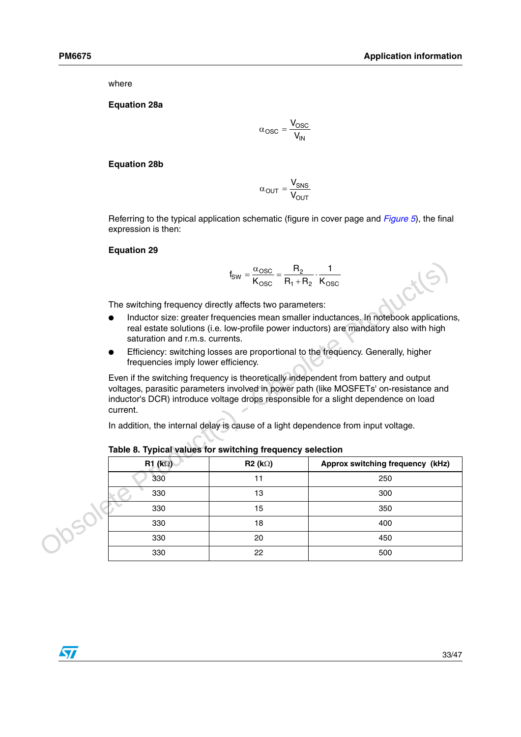where

**Equation 28a**

$$
\alpha_{\text{OSC}} = \frac{V_{\text{OSC}}}{V_{\text{IN}}}
$$

**Equation 28b**

OUT  $\textsf{out} = \frac{\textbf{v}_\mathsf{SNS}}{\textsf{V}_\mathsf{OUT}}$  $\alpha_{\text{OUT}} = \frac{V_0}{V}$ 

Referring to the typical application schematic (figure in cover page and *Figure 5*), the final expression is then:

#### **Equation 29**

$$
f_{SW} = \frac{\alpha_{OSC}}{K_{OSC}} = \frac{R_2}{R_1 + R_2} \cdot \frac{1}{K_{OSC}}
$$

- Inductor size: greater frequencies mean smaller inductances. In notebook applications, real estate solutions (i.e. low-profile power inductors) are mandatory also with high saturation and r.m.s. currents.
- Efficiency: switching losses are proportional to the frequency. Generally, higher frequencies imply lower efficiency.

|                                                                                                                                                                                                                                                                                                                                                                                                                                      | $f_{SW} = \frac{\alpha_{OSC}}{K_{OSC}} = \frac{R_2}{R_1 + R_2} \cdot \frac{1}{K_{OSC}}$ |                                  |  |  |  |  |  |
|--------------------------------------------------------------------------------------------------------------------------------------------------------------------------------------------------------------------------------------------------------------------------------------------------------------------------------------------------------------------------------------------------------------------------------------|-----------------------------------------------------------------------------------------|----------------------------------|--|--|--|--|--|
| The switching frequency directly affects two parameters:                                                                                                                                                                                                                                                                                                                                                                             |                                                                                         |                                  |  |  |  |  |  |
| Inductor size: greater frequencies mean smaller inductances. In notebook applications,<br>real estate solutions (i.e. low-profile power inductors) are mandatory also with high<br>saturation and r.m.s. currents.                                                                                                                                                                                                                   |                                                                                         |                                  |  |  |  |  |  |
| Efficiency: switching losses are proportional to the frequency. Generally, higher<br>frequencies imply lower efficiency.                                                                                                                                                                                                                                                                                                             |                                                                                         |                                  |  |  |  |  |  |
| Even if the switching frequency is theoretically independent from battery and output<br>voltages, parasitic parameters involved in power path (like MOSFETs' on-resistance and<br>inductor's DCR) introduce voltage drops responsible for a slight dependence on load<br>current.<br>In addition, the internal delay is cause of a light dependence from input voltage.<br>Table 8. Typical values for switching frequency selection |                                                                                         |                                  |  |  |  |  |  |
|                                                                                                                                                                                                                                                                                                                                                                                                                                      |                                                                                         |                                  |  |  |  |  |  |
| $R1$ (k $\Omega$ )                                                                                                                                                                                                                                                                                                                                                                                                                   | $R2 (k\Omega)$                                                                          | Approx switching frequency (kHz) |  |  |  |  |  |
| 330                                                                                                                                                                                                                                                                                                                                                                                                                                  | 11                                                                                      | 250                              |  |  |  |  |  |
| 330                                                                                                                                                                                                                                                                                                                                                                                                                                  | 13                                                                                      | 300                              |  |  |  |  |  |
| 330                                                                                                                                                                                                                                                                                                                                                                                                                                  | 15                                                                                      | 350                              |  |  |  |  |  |
| 330                                                                                                                                                                                                                                                                                                                                                                                                                                  | 18                                                                                      | 400                              |  |  |  |  |  |
| 330                                                                                                                                                                                                                                                                                                                                                                                                                                  | 20                                                                                      | 450                              |  |  |  |  |  |

**Table 8. Typical values for switching frequency selection**

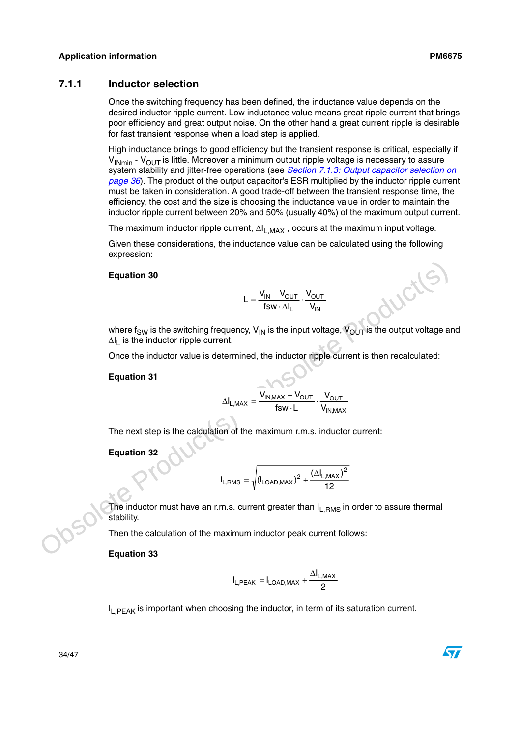### <span id="page-33-0"></span>**7.1.1 Inductor selection**

Once the switching frequency has been defined, the inductance value depends on the desired inductor ripple current. Low inductance value means great ripple current that brings poor efficiency and great output noise. On the other hand a great current ripple is desirable for fast transient response when a load step is applied.

High inductance brings to good efficiency but the transient response is critical, especially if  $V_{INmin}$  -  $V_{OUT}$  is little. Moreover a minimum output ripple voltage is necessary to assure system stability and jitter-free operations (see *[Section 7.1.3: Output capacitor selection on](#page-35-0)  [page 36](#page-35-0)*). The product of the output capacitor's ESR multiplied by the inductor ripple current must be taken in consideration. A good trade-off between the transient response time, the efficiency, the cost and the size is choosing the inductance value in order to maintain the inductor ripple current between 20% and 50% (usually 40%) of the maximum output current.

The maximum inductor ripple current,  $\Delta I_{LMAX}$ , occurs at the maximum input voltage.

Given these considerations, the inductance value can be calculated using the following expression:

#### **Equation 30**

$$
L = \frac{V_{IN} - V_{OUT}}{fsw \cdot \Delta I_L} \cdot \frac{V_{OUT}}{V_{IN}}
$$

Equation 30<br>  $L = \frac{V_{\text{IM}} - V_{\text{OUT}}}{f_{\text{SW - Al}_L} \cdot V_{\text{NI}}}$ <br>
Where  $f_{\text{SW}}$  is the switching frequency,  $V_{\text{IN}}$  is the input voltage,  $V_{\text{OUT}}$  is the output voltage and<br>
Once the inductor ripple current.<br>
Once the induct where  $f_{SW}$  is the switching frequency,  $V_{IN}$  is the input voltage,  $V_{OUT}$  is the output voltage and  $\Delta I_1$  is the inductor ripple current.

Once the inductor value is determined, the inductor ripple current is then recalculated:

#### **Equation 31**

$$
\Delta I_{L,MAX} = \frac{V_{IN,MAX} - V_{OUT}}{fsw \cdot L} \cdot \frac{V_{OUT}}{V_{IN,MAX}}
$$

The next step is the calculation of the maximum r.m.s. inductor current:

**Equation 32**

$$
I_{L,RMS} = \sqrt{\left(I_{LOAD,MAX}\right)^2 + \frac{\left(\Delta I_{L,MAX}\right)^2}{12}}
$$

The inductor must have an r.m.s. current greater than I<sub>L,RMS</sub> in order to assure thermal stability.

Then the calculation of the maximum inductor peak current follows:

**Equation 33**

$$
I_{L,PEAK} = I_{LOAD,MAX} + \frac{\Delta I_{L,MAX}}{2}
$$

I<sub>L,PEAK</sub> is important when choosing the inductor, in term of its saturation current.

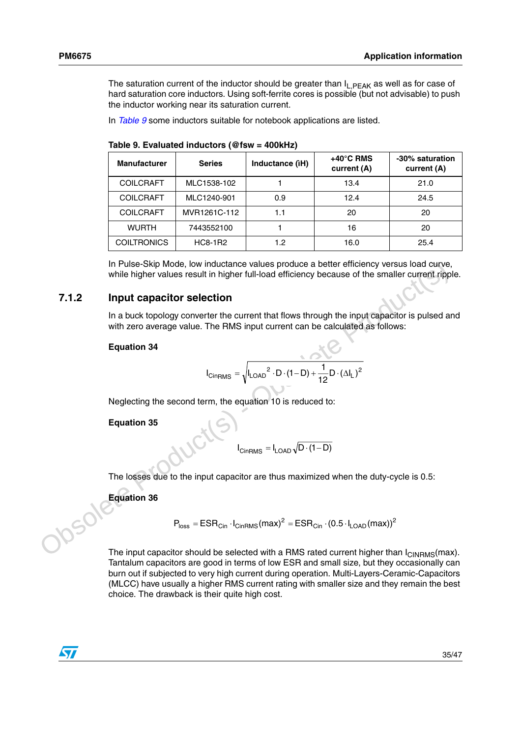The saturation current of the inductor should be greater than  $I_{\text{L}PFAK}$  as well as for case of hard saturation core inductors. Using soft-ferrite cores is possible (but not advisable) to push the inductor working near its saturation current.

In *[Table 9](#page-34-1)* some inductors suitable for notebook applications are listed.

| <b>Manufacturer</b> | <b>Series</b>  | Inductance (iH) | $+40^{\circ}$ C RMS<br>current (A) | -30% saturation<br>current (A) |
|---------------------|----------------|-----------------|------------------------------------|--------------------------------|
| <b>COILCRAFT</b>    | MLC1538-102    |                 | 13.4                               | 21.0                           |
| <b>COILCRAFT</b>    | MLC1240-901    | 0.9             | 12.4                               | 24.5                           |
| <b>COILCRAFT</b>    | MVR1261C-112   | 1.1             | 20                                 | 20                             |
| <b>WURTH</b>        | 7443552100     |                 | 16                                 | 20                             |
| <b>COILTRONICS</b>  | <b>HC8-1R2</b> | 1.2             | 16.0                               | 25.4                           |

<span id="page-34-1"></span>**Table 9. Evaluated inductors (@fsw = 400kHz)**

In Pulse-Skip Mode, low inductance values produce a better efficiency versus load curve.<br> **Obsolet Product Computer Computer** Computer Computer Production in a buck topology converter the current that flows through the in In Pulse-Skip Mode, low inductance values produce a better efficiency versus load curve, while higher values result in higher full-load efficiency because of the smaller current ripple.

### <span id="page-34-0"></span>**7.1.2 Input capacitor selection**

In a buck topology converter the current that flows through the input capacitor is pulsed and with zero average value. The RMS input current can be calculated as follows:

#### **Equation 34**

$$
I_{CinRMS} = \sqrt{I_{LOAD}^2 \cdot D \cdot (1 - D) + \frac{1}{12} D \cdot (\Delta I_L)^2}
$$

Neglecting the second term, the equation 10 is reduced to:

**Equation 35**

 $I_{\text{CinRMS}} = I_{\text{LOAD}} \sqrt{D \cdot (1 - D)}$ 

The losses due to the input capacitor are thus maximized when the duty-cycle is 0.5:

**Equation 36**

$$
P_{loss} = ESR_{cin} \cdot I_{CinRMS}(max)^{2} = ESR_{cin} \cdot (0.5 \cdot I_{LOAD}(max))^{2}
$$

The input capacitor should be selected with a RMS rated current higher than  $I_{\text{CINRMS}}(\text{max})$ . Tantalum capacitors are good in terms of low ESR and small size, but they occasionally can burn out if subjected to very high current during operation. Multi-Layers-Ceramic-Capacitors (MLCC) have usually a higher RMS current rating with smaller size and they remain the best choice. The drawback is their quite high cost.

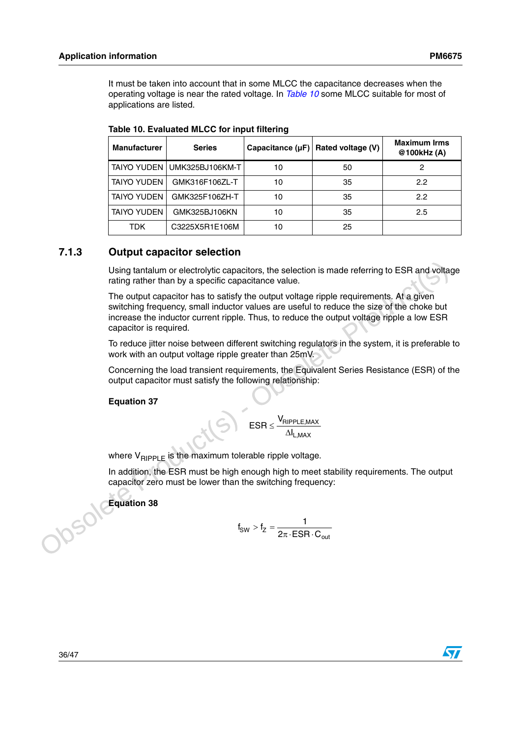It must be taken into account that in some MLCC the capacitance decreases when the operating voltage is near the rated voltage. In *[Table 10](#page-35-1)* some MLCC suitable for most of applications are listed.

| <b>Manufacturer</b> | <b>Series</b>               | Capacitance $(\mu F)$ | Rated voltage (V) | <b>Maximum Irms</b><br>@100kHz(A) |
|---------------------|-----------------------------|-----------------------|-------------------|-----------------------------------|
|                     | TAIYO YUDEN UMK325BJ106KM-T | 10                    | 50                |                                   |
| TAIYO YUDEN         | GMK316F106ZL-T              | 10                    | 35                | 2.2                               |
| <b>TAIYO YUDEN</b>  | GMK325F106ZH-T              | 10                    | 35                | 2.2                               |
| <b>TAIYO YUDEN</b>  | GMK325BJ106KN               | 10                    | 35                | 2.5                               |
| TDK                 | C3225X5R1E106M              | 10                    | 25                |                                   |

<span id="page-35-1"></span>**Table 10. Evaluated MLCC for input filtering**

### <span id="page-35-0"></span>**7.1.3 Output capacitor selection**

Using tantalum or electrolytic capacitors, the selection is made referring to ESR and voltage rating rather than by a specific capacitance value.

Using tantalum or electrolytic capacitors, the selection is made referring to ESR and voltage<br>rating rather than by a specific capacitance value.<br>The output capacitor has to satisfy the output voltage ripple requirements. The output capacitor has to satisfy the output voltage ripple requirements. At a given switching frequency, small inductor values are useful to reduce the size of the choke but increase the inductor current ripple. Thus, to reduce the output voltage ripple a low ESR capacitor is required.

To reduce jitter noise between different switching regulators in the system, it is preferable to work with an output voltage ripple greater than 25mV.

Concerning the load transient requirements, the Equivalent Series Resistance (ESR) of the output capacitor must satisfy the following relationship:

**Equation 37**

L,MAX RIPPLE,MAX I  $\mathsf{ESR} \leq \frac{\mathsf{V}_{\mathsf{RIF}}}{\Delta}$ 

where  $V_{\text{RIPPLE}}$  is the maximum tolerable ripple voltage.

In addition, the ESR must be high enough high to meet stability requirements. The output capacitor zero must be lower than the switching frequency:

**Equation 38** 

$$
f_{SW} > f_Z = \frac{1}{2\pi \cdot ESR \cdot C_{out}}
$$



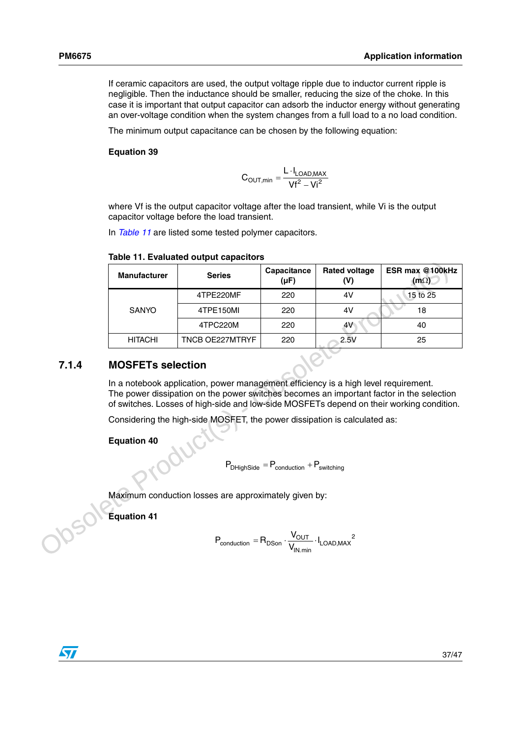If ceramic capacitors are used, the output voltage ripple due to inductor current ripple is negligible. Then the inductance should be smaller, reducing the size of the choke. In this case it is important that output capacitor can adsorb the inductor energy without generating an over-voltage condition when the system changes from a full load to a no load condition.

The minimum output capacitance can be chosen by the following equation:

### **Equation 39**

$$
C_{OUT,min}=\frac{L\cdot I_{LOAD,MAX}}{Vf^2-Vi^2}
$$

where Vf is the output capacitor voltage after the load transient, while Vi is the output capacitor voltage before the load transient.

In *[Table 11](#page-36-1)* are listed some tested polymer capacitors.

|       | <b>Manufacturer</b>                                                                                                                                                                                                                                                         | <b>Series</b>                                                             | Capacitance<br>$(\mu F)$                                                                                                                                                               | <b>Rated voltage</b><br>(V) | ESR max @100kHz<br>$(m\Omega)$ |  |  |
|-------|-----------------------------------------------------------------------------------------------------------------------------------------------------------------------------------------------------------------------------------------------------------------------------|---------------------------------------------------------------------------|----------------------------------------------------------------------------------------------------------------------------------------------------------------------------------------|-----------------------------|--------------------------------|--|--|
|       |                                                                                                                                                                                                                                                                             | 4TPE220MF                                                                 | 220                                                                                                                                                                                    | 4V                          | 15 to 25                       |  |  |
|       | SANYO                                                                                                                                                                                                                                                                       | 4TPE150MI                                                                 | 220                                                                                                                                                                                    | 4V                          | 18                             |  |  |
|       |                                                                                                                                                                                                                                                                             | 4TPC220M                                                                  | 220                                                                                                                                                                                    | 4V                          | 40                             |  |  |
|       | <b>HITACHI</b>                                                                                                                                                                                                                                                              | TNCB OE227MTRYF                                                           | 220                                                                                                                                                                                    | 2.5V                        | 25                             |  |  |
| 7.1.4 | <b>MOSFETs selection</b>                                                                                                                                                                                                                                                    |                                                                           |                                                                                                                                                                                        |                             |                                |  |  |
|       | In a notebook application, power management efficiency is a high level requirement.<br>The power dissipation on the power switches becomes an important factor in the selection<br>of switches. Losses of high-side and low-side MOSFETs depend on their working condition. |                                                                           |                                                                                                                                                                                        |                             |                                |  |  |
|       |                                                                                                                                                                                                                                                                             | Considering the high-side MOSFET, the power dissipation is calculated as: |                                                                                                                                                                                        |                             |                                |  |  |
|       | <b>Equation 40</b><br>$P_{DHighSide} = P_{conduction} + P_{switching}$                                                                                                                                                                                                      |                                                                           |                                                                                                                                                                                        |                             |                                |  |  |
|       |                                                                                                                                                                                                                                                                             | Maximum conduction losses are approximately given by:                     |                                                                                                                                                                                        |                             |                                |  |  |
|       | <b>Equation 41</b>                                                                                                                                                                                                                                                          |                                                                           |                                                                                                                                                                                        |                             |                                |  |  |
|       |                                                                                                                                                                                                                                                                             |                                                                           | $\mathsf{P}_{\mathsf{conduction}} = \mathsf{R}_{\mathsf{DSon}} \cdot \frac{\mathsf{V}_{\mathsf{OUT}}}{\mathsf{V}_{\mathsf{IN}.min}} \cdot \mathsf{I}_{\mathsf{LOAD},\mathsf{MAX}}{}^2$ |                             |                                |  |  |

### <span id="page-36-1"></span>**Table 11. Evaluated output capacitors**

### <span id="page-36-0"></span>**7.1.4 MOSFETs selection**

$$
P_{DHighSide} = P_{conduction} + P_{switching}
$$

$$
\mathsf{P}_{\textrm{conduction}} = \mathsf{R}_{\textrm{DSon}} \cdot \frac{\mathsf{V}_{\textrm{OUT}}}{\mathsf{V}_{\textrm{IN.min}}} \cdot \mathsf{I}_{\textrm{LOAD,MAX}}{}^2
$$

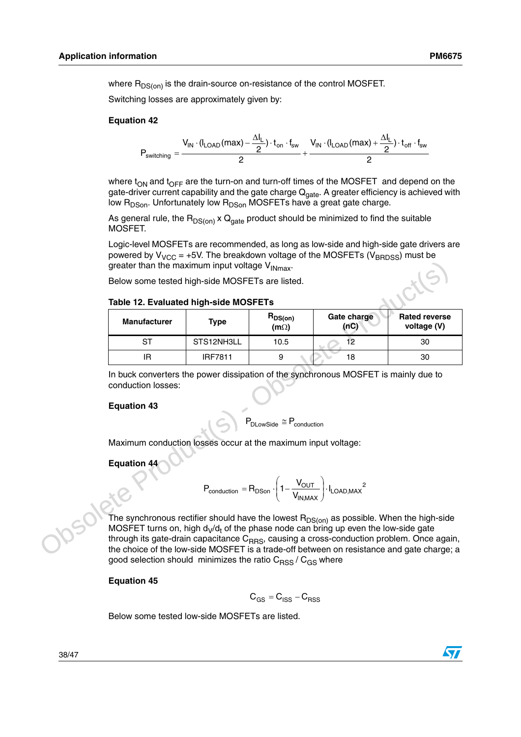where  $R_{DS(on)}$  is the drain-source on-resistance of the control MOSFET.

Switching losses are approximately given by:

### **Equation 42**

$$
P_{switching} = \frac{V_{IN}\cdot (I_{LOAD}(max)-\frac{\Delta I_L}{2})\cdot t_{on}\cdot f_{sw}}{2} + \frac{V_{IN}\cdot (I_{LOAD}(max)+\frac{\Delta I_L}{2})\cdot t_{off}\cdot f_{sw}}{2}
$$

where  $t_{ON}$  and  $t_{OFF}$  are the turn-on and turn-off times of the MOSFET and depend on the gate-driver current capability and the gate charge Q<sub>gate</sub>. A greater efficiency is achieved with low  $R_{DSon}$ . Unfortunately low  $R_{DSon}$  MOSFETs have a great gate charge.

As general rule, the  $R_{DS(on)} \times Q_{\text{gate}}$  product should be minimized to find the suitable MOSFET.

Logic-level MOSFETs are recommended, as long as low-side and high-side gate drivers are powered by  $V_{VCC}$  = +5V. The breakdown voltage of the MOSFETs (V<sub>BRDSS</sub>) must be greater than the maximum input voltage  $V_{INmax}$ .

### **Table 12. Evaluated high-side MOSFETs**

| greater than the maximum input voltage V <sub>INmax</sub> .                                                                                                                                                                                                                                                                                                                                  |                |                             |                     |                                     |  |  |
|----------------------------------------------------------------------------------------------------------------------------------------------------------------------------------------------------------------------------------------------------------------------------------------------------------------------------------------------------------------------------------------------|----------------|-----------------------------|---------------------|-------------------------------------|--|--|
| Below some tested high-side MOSFETs are listed.                                                                                                                                                                                                                                                                                                                                              |                |                             |                     |                                     |  |  |
| Table 12. Evaluated high-side MOSFETs                                                                                                                                                                                                                                                                                                                                                        |                |                             |                     |                                     |  |  |
| <b>Manufacturer</b>                                                                                                                                                                                                                                                                                                                                                                          | <b>Type</b>    | $R_{DS(on)}$<br>$(m\Omega)$ | Gate charge<br>(nC) | <b>Rated reverse</b><br>voltage (V) |  |  |
| ST                                                                                                                                                                                                                                                                                                                                                                                           | STS12NH3LL     | 10.5                        | 12 <sub>2</sub>     | 30                                  |  |  |
| IR.                                                                                                                                                                                                                                                                                                                                                                                          | <b>IRF7811</b> | 9                           | 18                  | 30                                  |  |  |
| In buck converters the power dissipation of the synchronous MOSFET is mainly due to<br>conduction losses:<br><b>Equation 43</b><br>$\text{P}_{\text{DLowSide}} \cong \text{P}_{\text{conduction}}$                                                                                                                                                                                           |                |                             |                     |                                     |  |  |
| Maximum conduction losses occur at the maximum input voltage:<br><b>Equation 44</b><br>$\text{P}_{\text{conduction}} = \text{R}_{\text{DSon}} \cdot \left(1 - \frac{\text{V}_{\text{OUT}}}{\text{V}_{\text{INMAX}}} \right) \cdot \text{I}_{\text{LOAD,MAX}}^2$                                                                                                                              |                |                             |                     |                                     |  |  |
| The synchronous rectifier should have the lowest $R_{DS(on)}$ as possible. When the high-side<br>MOSFET turns on, high $d_V/d_t$ of the phase node can bring up even the low-side gate<br>through its gate-drain capacitance C <sub>RRS</sub> , causing a cross-conduction problem. Once again,<br>the choice of the low-side MOSFET is a trade-off between on resistance and gate charge; a |                |                             |                     |                                     |  |  |

### **Equation 43**

$$
P_{\text{conduction}} = R_{\text{DSon}} \cdot \left(1 - \frac{V_{\text{OUT}}}{V_{\text{IN,MAX}}}\right) \cdot I_{\text{LOAD,MAX}}{}^{2}
$$

The synchronous rectifier should have the lowest  $R_{DS(on)}$  as possible. When the high-side MOSFET turns on, high  $d_V/d_t$  of the phase node can bring up even the low-side gate through its gate-drain capacitance  $C_{RRS}$ , causing a cross-conduction problem. Once again, the choice of the low-side MOSFET is a trade-off between on resistance and gate charge; a good selection should minimizes the ratio  $C_{\rm RSS}$  /  $C_{\rm GS}$  where

**Equation 45**

$$
\boldsymbol{C}_{\text{GS}} = \boldsymbol{C}_{\text{ISS}} - \boldsymbol{C}_{\text{RSS}}
$$

Below some tested low-side MOSFETs are listed.



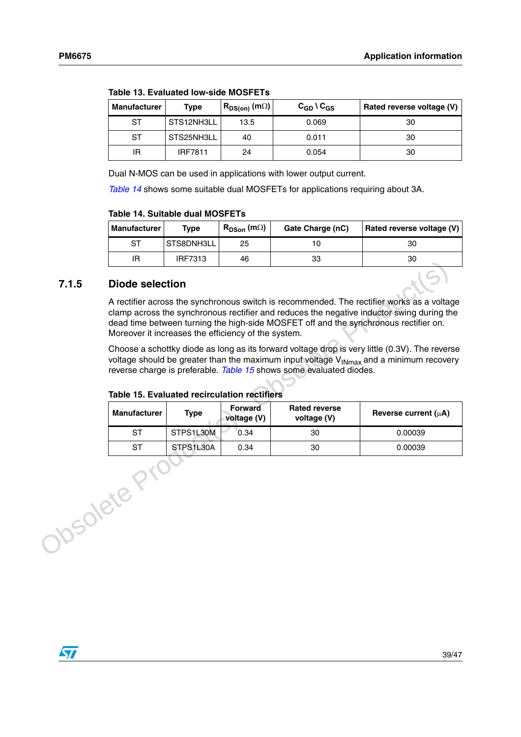| <b>Manufacturer</b> | Type           | $R_{DS(on)}$ (m $\Omega$ ) | $C_{GD} \setminus C_{GS}$ | Rated reverse voltage (V) |
|---------------------|----------------|----------------------------|---------------------------|---------------------------|
| <b>ST</b>           | STS12NH3LL     | 13.5                       | 0.069                     | 30                        |
| ST                  | STS25NH3LL     | 40                         | 0.011                     | 30                        |
| IR                  | <b>IRF7811</b> | 24                         | 0.054                     | 30                        |

**Table 13. Evaluated low-side MOSFETs**

Dual N-MOS can be used in applications with lower output current.

*[Table 14](#page-38-1)* shows some suitable dual MOSFETs for applications requiring about 3A.

#### <span id="page-38-1"></span>**Table 14. Suitable dual MOSFETs**

| <b>Manufacturer</b> | Type           | $R_{DSon}$ (m $\Omega$ ) | Gate Charge (nC) | Rated reverse voltage (V) |
|---------------------|----------------|--------------------------|------------------|---------------------------|
| ST                  | STS8DNH3LL     | 25                       |                  | 30                        |
| ΙR                  | <b>IRF7313</b> | 46                       | 33               | 30                        |

### <span id="page-38-0"></span>**7.1.5 Diode selection**

<span id="page-38-2"></span>

|               | .                                                                                                                                                                                                                                                                                                                           | .         |                               |                                                                                      | ◡                                                                                                                                                                                       |
|---------------|-----------------------------------------------------------------------------------------------------------------------------------------------------------------------------------------------------------------------------------------------------------------------------------------------------------------------------|-----------|-------------------------------|--------------------------------------------------------------------------------------|-----------------------------------------------------------------------------------------------------------------------------------------------------------------------------------------|
| 7.1.5         | <b>Diode selection</b>                                                                                                                                                                                                                                                                                                      |           |                               |                                                                                      |                                                                                                                                                                                         |
|               | Moreover it increases the efficiency of the system.                                                                                                                                                                                                                                                                         |           |                               | dead time between turning the high-side MOSFET off and the synchronous rectifier on. | A rectifier across the synchronous switch is recommended. The rectifier works as a voltage<br>clamp across the synchronous rectifier and reduces the negative inductor swing during the |
|               | Choose a schottky diode as long as its forward voltage drop is very little (0.3V). The reverse<br>voltage should be greater than the maximum input voltage $V_{INmax}$ and a minimum recovery<br>reverse charge is preferable. Table 15 shows some evaluated diodes.<br><b>Table 15. Evaluated recirculation rectifiers</b> |           |                               |                                                                                      |                                                                                                                                                                                         |
|               | <b>Manufacturer</b>                                                                                                                                                                                                                                                                                                         | Type      | <b>Forward</b><br>voltage (V) | <b>Rated reverse</b><br>voltage (V)                                                  | Reverse current $(\mu A)$                                                                                                                                                               |
|               | <b>ST</b>                                                                                                                                                                                                                                                                                                                   | STPS1L30M | 0.34                          | 30                                                                                   | 0.00039                                                                                                                                                                                 |
|               | <b>ST</b>                                                                                                                                                                                                                                                                                                                   | STPS1L30A | 0.34                          | 30                                                                                   | 0.00039                                                                                                                                                                                 |
| <b>solete</b> |                                                                                                                                                                                                                                                                                                                             |           |                               |                                                                                      |                                                                                                                                                                                         |

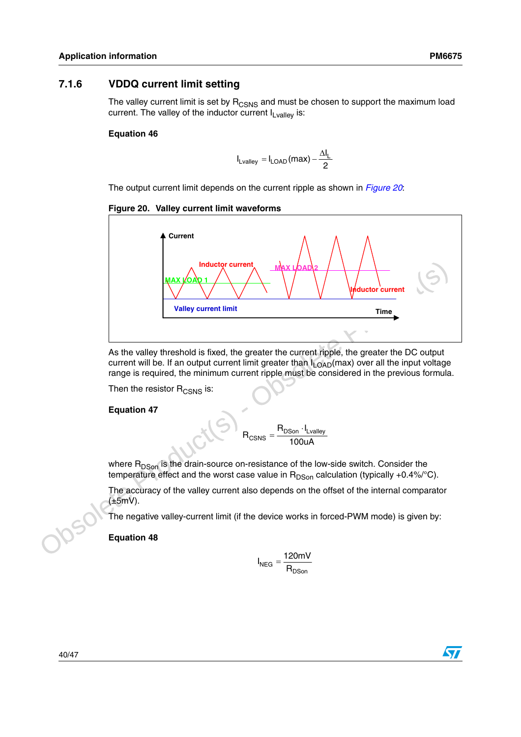## <span id="page-39-0"></span>**7.1.6 VDDQ current limit setting**

The valley current limit is set by  $R_{CSNS}$  and must be chosen to support the maximum load current. The valley of the inductor current  $I_{Lvallev}$  is:

### **Equation 46**

$$
I_{\text{Lvalley}} = I_{\text{LOAD}}(max) - \frac{\Delta I_{\text{L}}}{2}
$$

The output current limit depends on the current ripple as shown in *[Figure 20](#page-39-1)*:

### <span id="page-39-1"></span>**Figure 20. Valley current limit waveforms**



As the valley threshold is fixed, the greater the current ripple, the greater the DC output current will be. If an output current limit greater than  $I_{LOAD}(max)$  over all the input voltage range is required, the minimum current ripple must be considered in the previous formula.

Then the resistor  $R_{CSNS}$  is:

### **Equation 47**

100uA  $R_{CSNS} = \frac{R_{DSon} \cdot I_{Lvalley}}{120 \text{ A}}$  $R_{\text{CSNS}}$ 

where  $R_{DSon}$  is the drain-source on-resistance of the low-side switch. Consider the temperature effect and the worst case value in  $R_{DSon}$  calculation (typically +0.4%/°C).

The accuracy of the valley current also depends on the offset of the internal comparator (±5mV).

The negative valley-current limit (if the device works in forced-PWM mode) is given by:

**Equation 48**

$$
I_{NEG} = \frac{120mV}{R_{DSon}}
$$



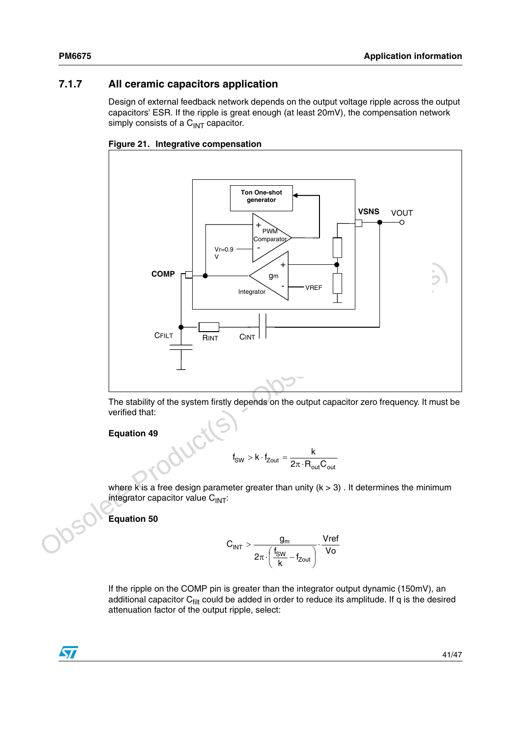## <span id="page-40-0"></span>**7.1.7 All ceramic capacitors application**

Design of external feedback network depends on the output voltage ripple across the output capacitors' ESR. If the ripple is great enough (at least 20mV), the compensation network simply consists of a  $C<sub>INT</sub>$  capacitor.





The stability of the system firstly depends on the output capacitor zero frequency. It must be verified that:

**Equation 49**

$$
f_{SW} > k \cdot f_{Zout} = \frac{k}{2\pi \cdot R_{out} C_{out}}
$$

where k is a free design parameter greater than unity  $(k > 3)$ . It determines the minimum integrator capacitor value  $C<sub>INT</sub>$ :

**Equation 50**

$$
C_{INT}>\frac{g_m}{2\pi\cdot\left(\frac{f_{SW}}{k}-f_{Zout}\right)}\cdot\frac{Vref}{Vo}
$$

If the ripple on the COMP pin is greater than the integrator output dynamic (150mV), an additional capacitor  $C_{\text{filt}}$  could be added in order to reduce its amplitude. If q is the desired attenuation factor of the output ripple, select:

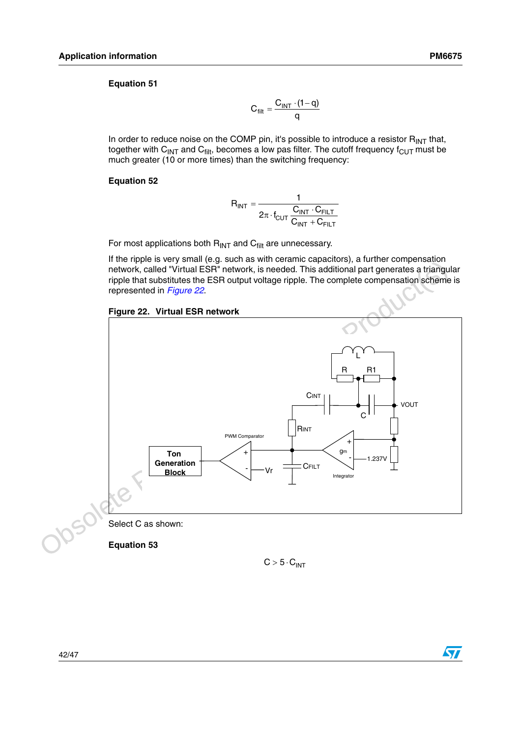In order to reduce noise on the COMP pin, it's possible to introduce a resistor  $R_{INT}$  that, together with C<sub>INT</sub> and C<sub>filt</sub>, becomes a low pas filter. The cutoff frequency  $f_{\text{CUT}}$  must be much greater (10 or more times) than the switching frequency:

### **Equation 52**

$$
R_{INT} = \frac{1}{2\pi \cdot f_{CUT} \frac{C_{INT} \cdot C_{FILT}}{C_{INT} + C_{FILT}}}
$$

For most applications both  $R_{INT}$  and  $C_{filt}$  are unnecessary.

If the ripple is very small (e.g. such as with ceramic capacitors), a further compensation network, called "Virtual ESR" network, is needed. This additional part generates a triangular ripple that substitutes the ESR output voltage ripple. The complete compensation scheme is represented in *Figure 22*.

<span id="page-41-0"></span>



**Equation 53**

 $C > 5 \cdot C_{INT}$ 

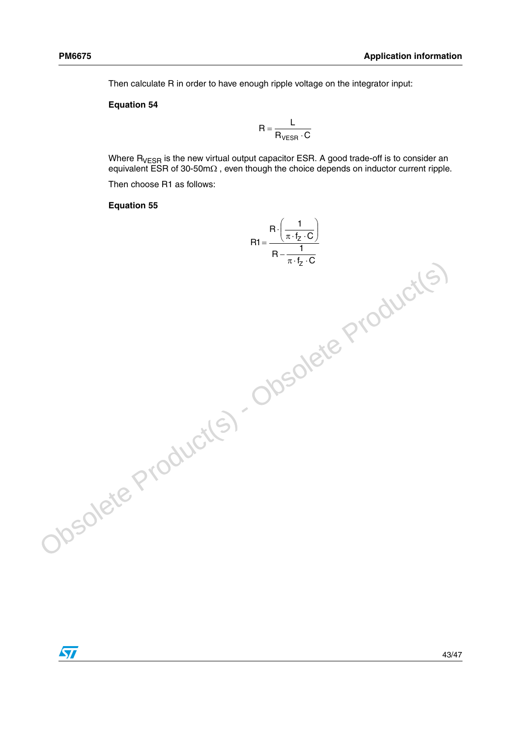Then calculate R in order to have enough ripple voltage on the integrator input:

#### **Equation 54**

$$
R = \frac{L}{R_{VESR} \cdot C}
$$

Where  $R_{VFSR}$  is the new virtual output capacitor ESR. A good trade-off is to consider an equivalent ESR of 30-50mΩ , even though the choice depends on inductor current ripple.

Then choose R1 as follows:

#### **Equation 55**

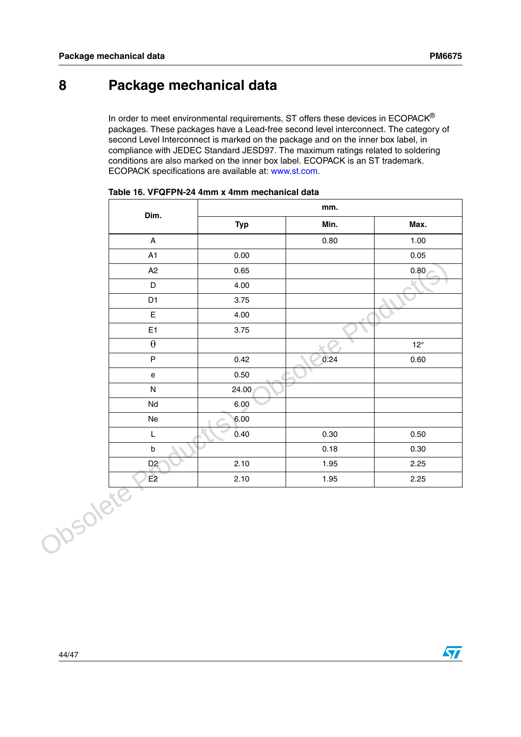# <span id="page-43-0"></span>**8 Package mechanical data**

In order to meet environmental requirements, ST offers these devices in ECOPACK® packages. These packages have a Lead-free second level interconnect. The category of second Level Interconnect is marked on the package and on the inner box label, in compliance with JEDEC Standard JESD97. The maximum ratings related to soldering conditions are also marked on the inner box label. ECOPACK is an ST trademark. ECOPACK specifications are available at: www.st.com.

|          | Dim.                              | mm.        |      |              |  |
|----------|-----------------------------------|------------|------|--------------|--|
|          |                                   | <b>Typ</b> | Min. | Max.         |  |
|          | $\mathsf{A}$                      |            | 0.80 | 1.00         |  |
|          | A1                                | 0.00       |      | 0.05         |  |
|          | A2                                | 0.65       |      | 0.80         |  |
|          | $\mathsf D$                       | 4.00       |      |              |  |
|          | D <sub>1</sub>                    | 3.75       |      |              |  |
|          | $\mathsf E$                       | 4.00       |      |              |  |
|          | E <sub>1</sub>                    | 3.75       |      |              |  |
|          | $\boldsymbol{\theta}$             |            | be.  | $12^{\circ}$ |  |
|          | $\mathsf P$                       | 0.42       | 0.24 | 0.60         |  |
|          | $\mathsf{e}% _{t}\left( t\right)$ | 0.50       |      |              |  |
|          | ${\sf N}$                         | 24.00      |      |              |  |
|          | Nd                                | 6.00       |      |              |  |
|          | Ne                                | 6.00       |      |              |  |
|          | L                                 | 0.40       | 0.30 | 0.50         |  |
|          | $\sf b$                           |            | 0.18 | 0.30         |  |
|          | D <sub>2</sub>                    | 2.10       | 1.95 | 2.25         |  |
|          | E2                                | 2.10       | 1.95 | 2.25         |  |
| Josolete |                                   |            |      |              |  |

| Table 16. VFQFPN-24 4mm x 4mm mechanical data |  |  |  |  |  |
|-----------------------------------------------|--|--|--|--|--|
|-----------------------------------------------|--|--|--|--|--|



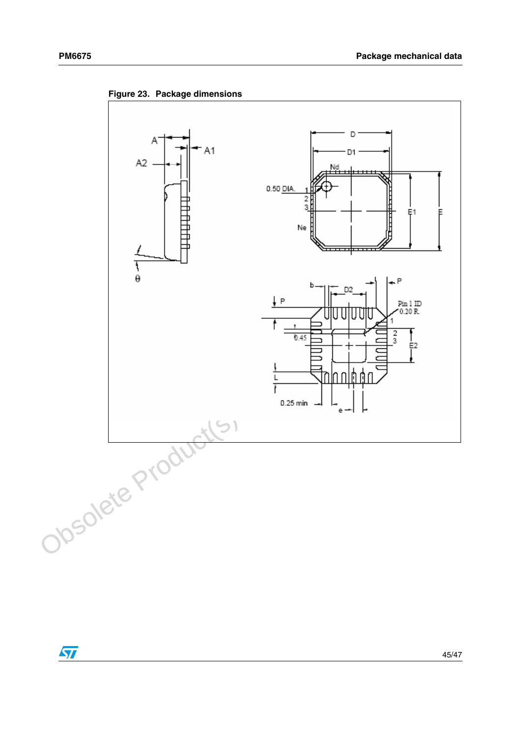

**Figure 23. Package dimensions**

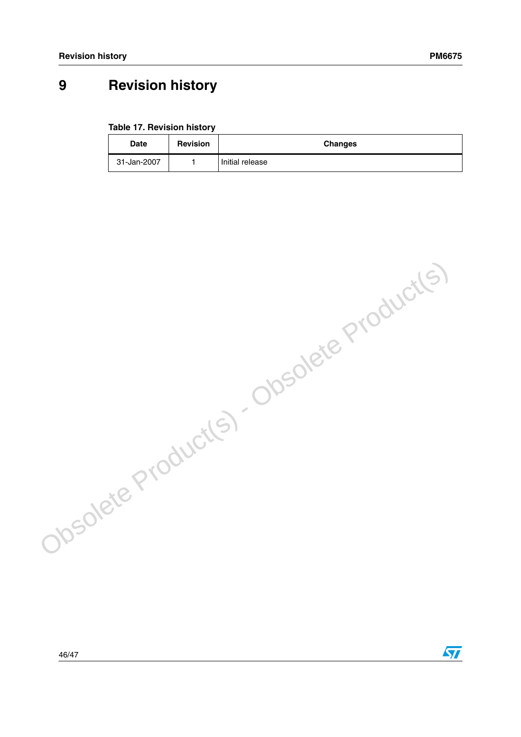$\sqrt{2}$ 

# <span id="page-45-0"></span>**9 Revision history**

**Table 17. Revision history**

| <b>Date</b> | <b>Revision</b> | <b>Changes</b>  |
|-------------|-----------------|-----------------|
| 31-Jan-2007 |                 | Initial release |

Obsolete Product(s) - Obsolete Product(s)